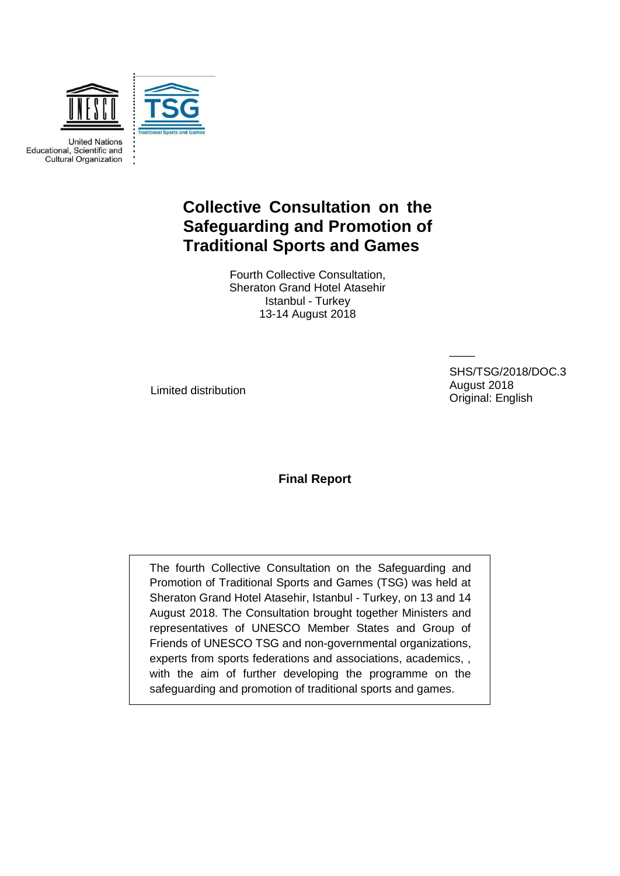

**United Nations** Educational, Scientific and **Cultural Organization** 

# **Collective Consultation on the Safeguarding and Promotion of Traditional Sports and Games**

Fourth Collective Consultation, Sheraton Grand Hotel Atasehir Istanbul - Turkey 13-14 August 2018

Limited distribution

SHS/TSG/2018/DOC.3 August 2018 Original: English

 $\overline{\phantom{a}}$ 

**Final Report**

The fourth Collective Consultation on the Safeguarding and Promotion of Traditional Sports and Games (TSG) was held at Sheraton Grand Hotel Atasehir, Istanbul - Turkey, on 13 and 14 August 2018. The Consultation brought together Ministers and representatives of UNESCO Member States and Group of Friends of UNESCO TSG and non-governmental organizations, experts from sports federations and associations, academics, , with the aim of further developing the programme on the safeguarding and promotion of traditional sports and games.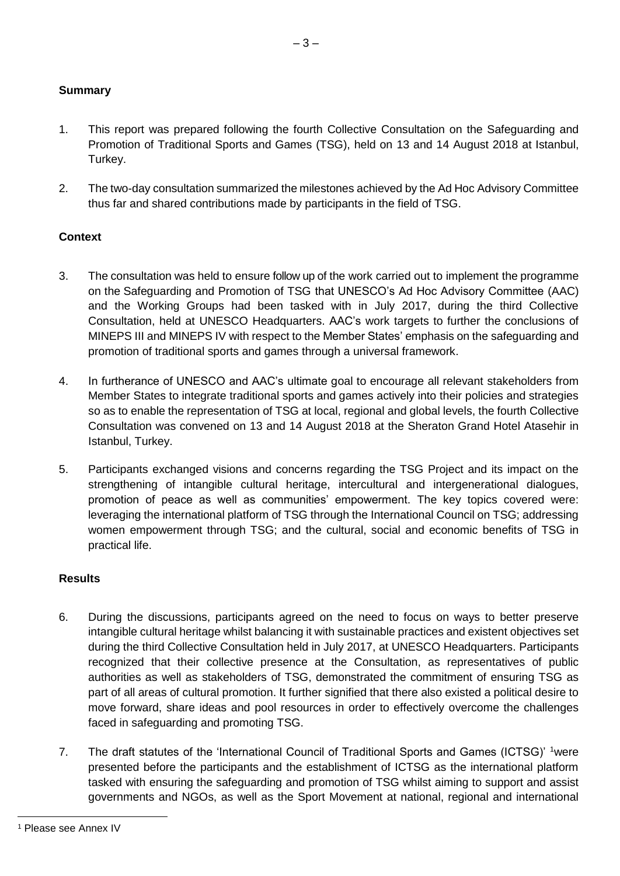#### **Summary**

1. This report was prepared following the fourth Collective Consultation on the Safeguarding and Promotion of Traditional Sports and Games (TSG), held on 13 and 14 August 2018 at Istanbul, Turkey.

 $-3-$ 

2. The two-day consultation summarized the milestones achieved by the Ad Hoc Advisory Committee thus far and shared contributions made by participants in the field of TSG.

#### **Context**

- 3. The consultation was held to ensure follow up of the work carried out to implement the programme on the Safeguarding and Promotion of TSG that UNESCO's Ad Hoc Advisory Committee (AAC) and the Working Groups had been tasked with in July 2017, during the third Collective Consultation, held at UNESCO Headquarters. AAC's work targets to further the conclusions of MINEPS III and MINEPS IV with respect to the Member States' emphasis on the safeguarding and promotion of traditional sports and games through a universal framework.
- 4. In furtherance of UNESCO and AAC's ultimate goal to encourage all relevant stakeholders from Member States to integrate traditional sports and games actively into their policies and strategies so as to enable the representation of TSG at local, regional and global levels, the fourth Collective Consultation was convened on 13 and 14 August 2018 at the Sheraton Grand Hotel Atasehir in Istanbul, Turkey.
- 5. Participants exchanged visions and concerns regarding the TSG Project and its impact on the strengthening of intangible cultural heritage, intercultural and intergenerational dialogues, promotion of peace as well as communities' empowerment. The key topics covered were: leveraging the international platform of TSG through the International Council on TSG; addressing women empowerment through TSG; and the cultural, social and economic benefits of TSG in practical life.

#### **Results**

- 6. During the discussions, participants agreed on the need to focus on ways to better preserve intangible cultural heritage whilst balancing it with sustainable practices and existent objectives set during the third Collective Consultation held in July 2017, at UNESCO Headquarters. Participants recognized that their collective presence at the Consultation, as representatives of public authorities as well as stakeholders of TSG, demonstrated the commitment of ensuring TSG as part of all areas of cultural promotion. It further signified that there also existed a political desire to move forward, share ideas and pool resources in order to effectively overcome the challenges faced in safeguarding and promoting TSG.
- 7. The draft statutes of the 'International Council of Traditional Sports and Games (ICTSG)' 1were presented before the participants and the establishment of ICTSG as the international platform tasked with ensuring the safeguarding and promotion of TSG whilst aiming to support and assist governments and NGOs, as well as the Sport Movement at national, regional and international

 <sup>1</sup> Please see Annex IV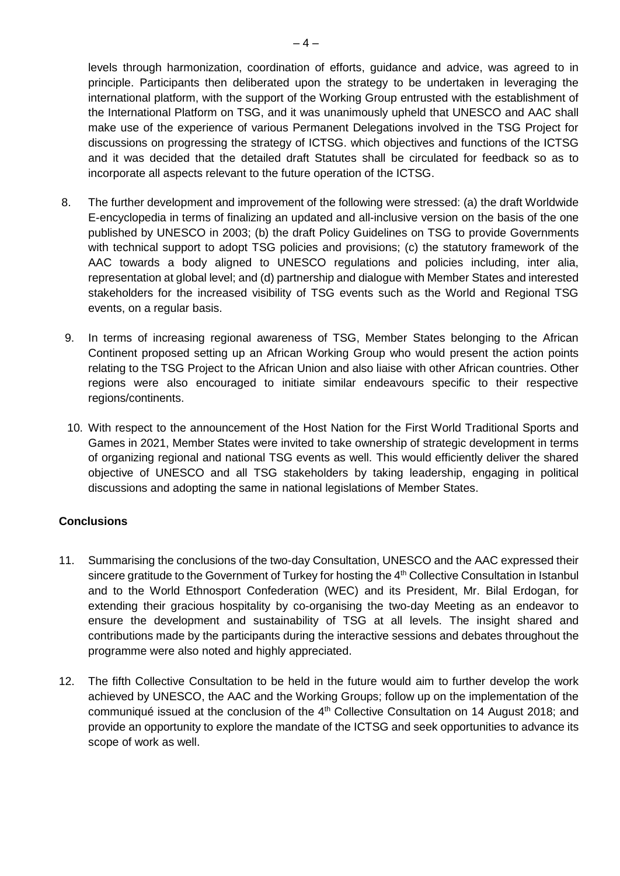levels through harmonization, coordination of efforts, guidance and advice, was agreed to in principle. Participants then deliberated upon the strategy to be undertaken in leveraging the international platform, with the support of the Working Group entrusted with the establishment of the International Platform on TSG, and it was unanimously upheld that UNESCO and AAC shall make use of the experience of various Permanent Delegations involved in the TSG Project for discussions on progressing the strategy of ICTSG. which objectives and functions of the ICTSG and it was decided that the detailed draft Statutes shall be circulated for feedback so as to incorporate all aspects relevant to the future operation of the ICTSG.

- 8. The further development and improvement of the following were stressed: (a) the draft Worldwide E-encyclopedia in terms of finalizing an updated and all-inclusive version on the basis of the one published by UNESCO in 2003; (b) the draft Policy Guidelines on TSG to provide Governments with technical support to adopt TSG policies and provisions; (c) the statutory framework of the AAC towards a body aligned to UNESCO regulations and policies including, inter alia, representation at global level; and (d) partnership and dialogue with Member States and interested stakeholders for the increased visibility of TSG events such as the World and Regional TSG events, on a regular basis.
- 9. In terms of increasing regional awareness of TSG, Member States belonging to the African Continent proposed setting up an African Working Group who would present the action points relating to the TSG Project to the African Union and also liaise with other African countries. Other regions were also encouraged to initiate similar endeavours specific to their respective regions/continents.
- 10. With respect to the announcement of the Host Nation for the First World Traditional Sports and Games in 2021, Member States were invited to take ownership of strategic development in terms of organizing regional and national TSG events as well. This would efficiently deliver the shared objective of UNESCO and all TSG stakeholders by taking leadership, engaging in political discussions and adopting the same in national legislations of Member States.

#### **Conclusions**

- 11. Summarising the conclusions of the two-day Consultation, UNESCO and the AAC expressed their sincere gratitude to the Government of Turkey for hosting the 4<sup>th</sup> Collective Consultation in Istanbul and to the World Ethnosport Confederation (WEC) and its President, Mr. Bilal Erdogan, for extending their gracious hospitality by co-organising the two-day Meeting as an endeavor to ensure the development and sustainability of TSG at all levels. The insight shared and contributions made by the participants during the interactive sessions and debates throughout the programme were also noted and highly appreciated.
- 12. The fifth Collective Consultation to be held in the future would aim to further develop the work achieved by UNESCO, the AAC and the Working Groups; follow up on the implementation of the communiqué issued at the conclusion of the 4<sup>th</sup> Collective Consultation on 14 August 2018; and provide an opportunity to explore the mandate of the ICTSG and seek opportunities to advance its scope of work as well.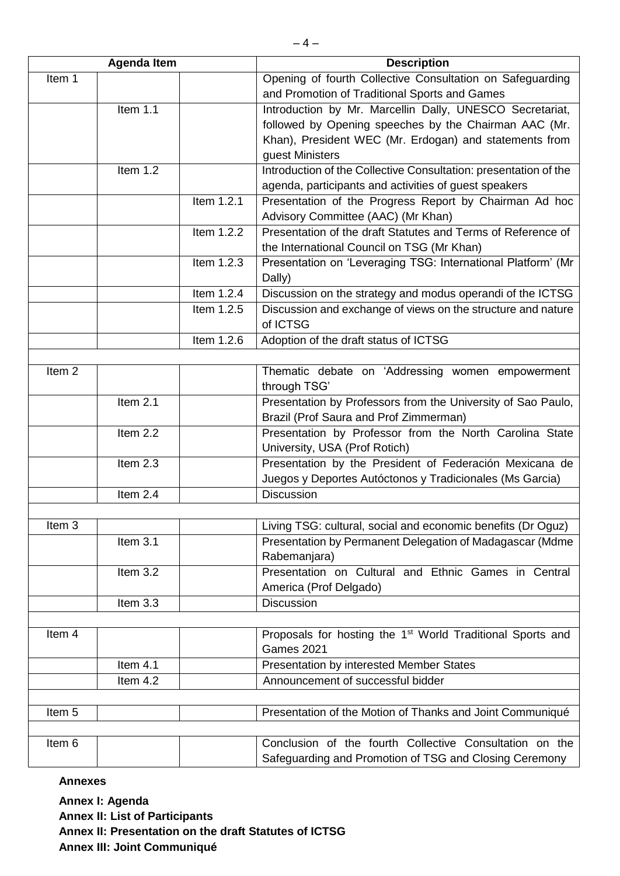| <b>Agenda Item</b> |            |            | <b>Description</b>                                                                          |  |
|--------------------|------------|------------|---------------------------------------------------------------------------------------------|--|
| Item 1             |            |            | Opening of fourth Collective Consultation on Safeguarding                                   |  |
|                    |            |            | and Promotion of Traditional Sports and Games                                               |  |
|                    | Item $1.1$ |            | Introduction by Mr. Marcellin Dally, UNESCO Secretariat,                                    |  |
|                    |            |            | followed by Opening speeches by the Chairman AAC (Mr.                                       |  |
|                    |            |            | Khan), President WEC (Mr. Erdogan) and statements from                                      |  |
|                    |            |            | guest Ministers                                                                             |  |
|                    | Item 1.2   |            | Introduction of the Collective Consultation: presentation of the                            |  |
|                    |            |            | agenda, participants and activities of guest speakers                                       |  |
|                    |            | Item 1.2.1 | Presentation of the Progress Report by Chairman Ad hoc                                      |  |
|                    |            |            | Advisory Committee (AAC) (Mr Khan)                                                          |  |
|                    |            | Item 1.2.2 | Presentation of the draft Statutes and Terms of Reference of                                |  |
|                    |            |            | the International Council on TSG (Mr Khan)                                                  |  |
|                    |            | Item 1.2.3 | Presentation on 'Leveraging TSG: International Platform' (Mr                                |  |
|                    |            |            | Dally)                                                                                      |  |
|                    |            | Item 1.2.4 | Discussion on the strategy and modus operandi of the ICTSG                                  |  |
|                    |            | Item 1.2.5 | Discussion and exchange of views on the structure and nature<br>of ICTSG                    |  |
|                    |            | Item 1.2.6 | Adoption of the draft status of ICTSG                                                       |  |
|                    |            |            |                                                                                             |  |
| Item <sub>2</sub>  |            |            | Thematic debate on 'Addressing women empowerment                                            |  |
|                    |            |            | through TSG'                                                                                |  |
|                    | Item $2.1$ |            | Presentation by Professors from the University of Sao Paulo,                                |  |
|                    |            |            | Brazil (Prof Saura and Prof Zimmerman)                                                      |  |
|                    | Item 2.2   |            | Presentation by Professor from the North Carolina State                                     |  |
|                    |            |            | University, USA (Prof Rotich)                                                               |  |
|                    | Item 2.3   |            | Presentation by the President of Federación Mexicana de                                     |  |
|                    |            |            | Juegos y Deportes Autóctonos y Tradicionales (Ms Garcia)                                    |  |
|                    | Item 2.4   |            | <b>Discussion</b>                                                                           |  |
|                    |            |            |                                                                                             |  |
| Item 3             |            |            | Living TSG: cultural, social and economic benefits (Dr Oguz)                                |  |
|                    | Item 3.1   |            | Presentation by Permanent Delegation of Madagascar (Mdme                                    |  |
|                    |            |            | Rabemanjara)                                                                                |  |
|                    | Item 3.2   |            | Presentation on Cultural and Ethnic Games in Central                                        |  |
|                    |            |            | America (Prof Delgado)                                                                      |  |
|                    | Item 3.3   |            | <b>Discussion</b>                                                                           |  |
|                    |            |            |                                                                                             |  |
| Item 4             |            |            | Proposals for hosting the 1 <sup>st</sup> World Traditional Sports and<br><b>Games 2021</b> |  |
|                    | Item $4.1$ |            | Presentation by interested Member States                                                    |  |
|                    | Item 4.2   |            | Announcement of successful bidder                                                           |  |
|                    |            |            |                                                                                             |  |
| Item 5             |            |            | Presentation of the Motion of Thanks and Joint Communiqué                                   |  |
|                    |            |            |                                                                                             |  |
| Item 6             |            |            | Conclusion of the fourth Collective Consultation on the                                     |  |
|                    |            |            | Safeguarding and Promotion of TSG and Closing Ceremony                                      |  |

**Annex I: Agenda Annex II: List of Participants Annex II: Presentation on the draft Statutes of ICTSG Annex III: Joint Communiqué**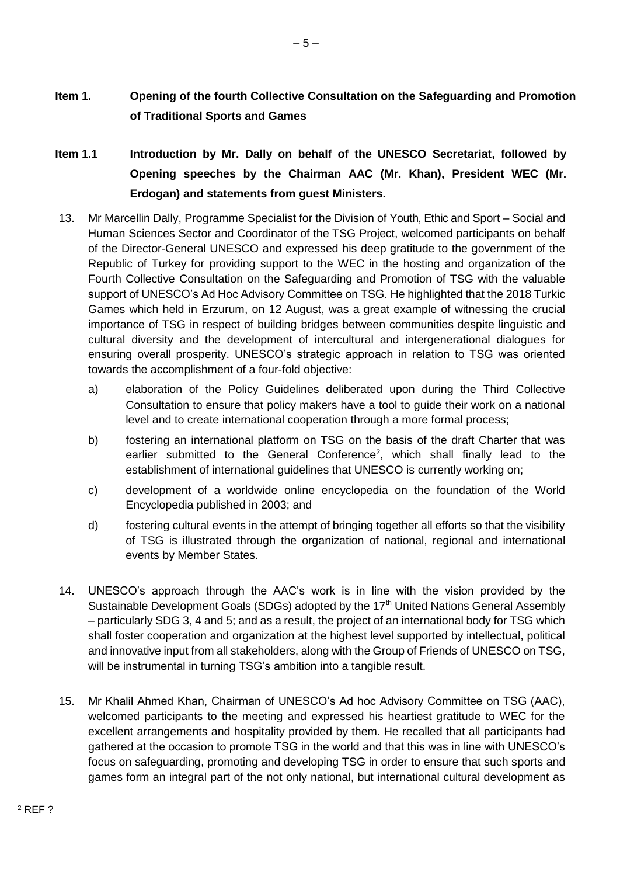- **Item 1. Opening of the fourth Collective Consultation on the Safeguarding and Promotion of Traditional Sports and Games**
- **Item 1.1 Introduction by Mr. Dally on behalf of the UNESCO Secretariat, followed by Opening speeches by the Chairman AAC (Mr. Khan), President WEC (Mr. Erdogan) and statements from guest Ministers.**
- 13. Mr Marcellin Dally, Programme Specialist for the Division of Youth, Ethic and Sport Social and Human Sciences Sector and Coordinator of the TSG Project, welcomed participants on behalf of the Director-General UNESCO and expressed his deep gratitude to the government of the Republic of Turkey for providing support to the WEC in the hosting and organization of the Fourth Collective Consultation on the Safeguarding and Promotion of TSG with the valuable support of UNESCO's Ad Hoc Advisory Committee on TSG. He highlighted that the 2018 Turkic Games which held in Erzurum, on 12 August, was a great example of witnessing the crucial importance of TSG in respect of building bridges between communities despite linguistic and cultural diversity and the development of intercultural and intergenerational dialogues for ensuring overall prosperity. UNESCO's strategic approach in relation to TSG was oriented towards the accomplishment of a four-fold objective:
	- a) elaboration of the Policy Guidelines deliberated upon during the Third Collective Consultation to ensure that policy makers have a tool to guide their work on a national level and to create international cooperation through a more formal process;
	- b) fostering an international platform on TSG on the basis of the draft Charter that was earlier submitted to the General Conference<sup>2</sup>, which shall finally lead to the establishment of international guidelines that UNESCO is currently working on;
	- c) development of a worldwide online encyclopedia on the foundation of the World Encyclopedia published in 2003; and
	- d) fostering cultural events in the attempt of bringing together all efforts so that the visibility of TSG is illustrated through the organization of national, regional and international events by Member States.
- 14. UNESCO's approach through the AAC's work is in line with the vision provided by the Sustainable Development Goals (SDGs) adopted by the 17<sup>th</sup> United Nations General Assembly – particularly SDG 3, 4 and 5; and as a result, the project of an international body for TSG which shall foster cooperation and organization at the highest level supported by intellectual, political and innovative input from all stakeholders, along with the Group of Friends of UNESCO on TSG, will be instrumental in turning TSG's ambition into a tangible result.
- 15. Mr Khalil Ahmed Khan, Chairman of UNESCO's Ad hoc Advisory Committee on TSG (AAC), welcomed participants to the meeting and expressed his heartiest gratitude to WEC for the excellent arrangements and hospitality provided by them. He recalled that all participants had gathered at the occasion to promote TSG in the world and that this was in line with UNESCO's focus on safeguarding, promoting and developing TSG in order to ensure that such sports and games form an integral part of the not only national, but international cultural development as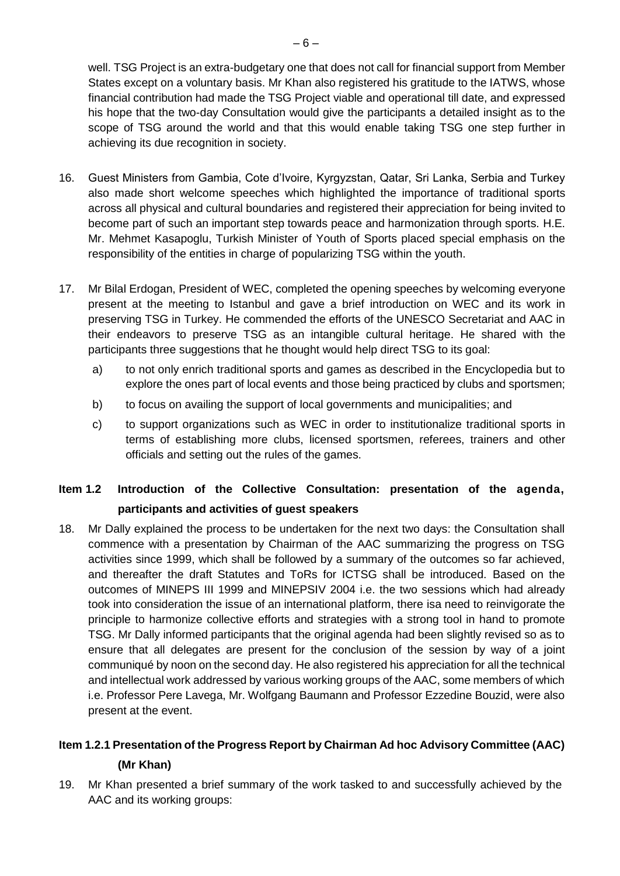well. TSG Project is an extra-budgetary one that does not call for financial support from Member States except on a voluntary basis. Mr Khan also registered his gratitude to the IATWS, whose financial contribution had made the TSG Project viable and operational till date, and expressed his hope that the two-day Consultation would give the participants a detailed insight as to the scope of TSG around the world and that this would enable taking TSG one step further in achieving its due recognition in society.

- 16. Guest Ministers from Gambia, Cote d'Ivoire, Kyrgyzstan, Qatar, Sri Lanka, Serbia and Turkey also made short welcome speeches which highlighted the importance of traditional sports across all physical and cultural boundaries and registered their appreciation for being invited to become part of such an important step towards peace and harmonization through sports. H.E. Mr. Mehmet Kasapoglu, Turkish Minister of Youth of Sports placed special emphasis on the responsibility of the entities in charge of popularizing TSG within the youth.
- 17. Mr Bilal Erdogan, President of WEC, completed the opening speeches by welcoming everyone present at the meeting to Istanbul and gave a brief introduction on WEC and its work in preserving TSG in Turkey. He commended the efforts of the UNESCO Secretariat and AAC in their endeavors to preserve TSG as an intangible cultural heritage. He shared with the participants three suggestions that he thought would help direct TSG to its goal:
	- a) to not only enrich traditional sports and games as described in the Encyclopedia but to explore the ones part of local events and those being practiced by clubs and sportsmen;
	- b) to focus on availing the support of local governments and municipalities; and
	- c) to support organizations such as WEC in order to institutionalize traditional sports in terms of establishing more clubs, licensed sportsmen, referees, trainers and other officials and setting out the rules of the games.

## **Item 1.2 Introduction of the Collective Consultation: presentation of the agenda, participants and activities of guest speakers**

18. Mr Dally explained the process to be undertaken for the next two days: the Consultation shall commence with a presentation by Chairman of the AAC summarizing the progress on TSG activities since 1999, which shall be followed by a summary of the outcomes so far achieved, and thereafter the draft Statutes and ToRs for ICTSG shall be introduced. Based on the outcomes of MINEPS III 1999 and MINEPSIV 2004 i.e. the two sessions which had already took into consideration the issue of an international platform, there isa need to reinvigorate the principle to harmonize collective efforts and strategies with a strong tool in hand to promote TSG. Mr Dally informed participants that the original agenda had been slightly revised so as to ensure that all delegates are present for the conclusion of the session by way of a joint communiqué by noon on the second day. He also registered his appreciation for all the technical and intellectual work addressed by various working groups of the AAC, some members of which i.e. Professor Pere Lavega, Mr. Wolfgang Baumann and Professor Ezzedine Bouzid, were also present at the event.

### **Item 1.2.1 Presentation of the Progress Report by Chairman Ad hoc Advisory Committee (AAC) (Mr Khan)**

19. Mr Khan presented a brief summary of the work tasked to and successfully achieved by the AAC and its working groups: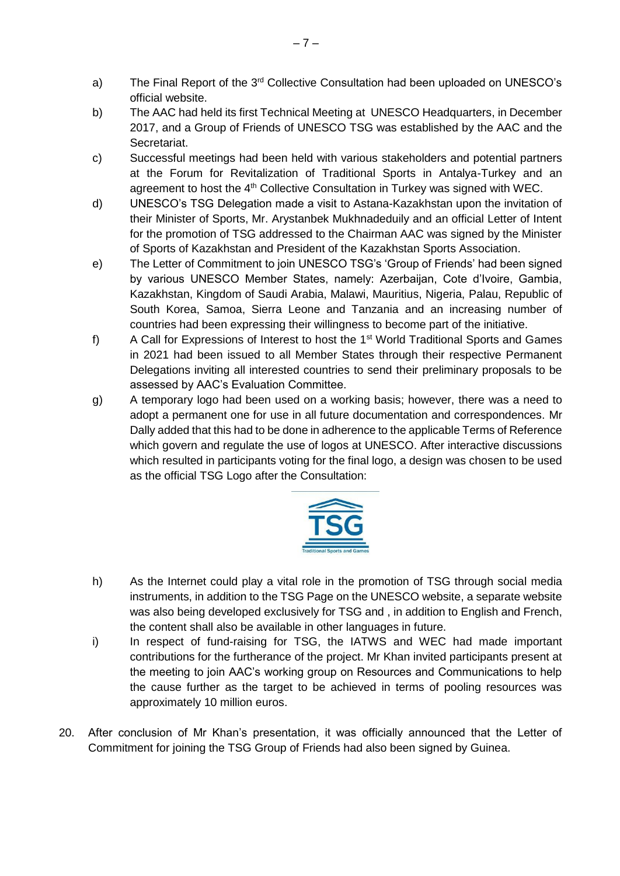- a) The Final Report of the 3<sup>rd</sup> Collective Consultation had been uploaded on UNESCO's official website.
- b) The AAC had held its first Technical Meeting at UNESCO Headquarters, in December 2017, and a Group of Friends of UNESCO TSG was established by the AAC and the Secretariat.
- c) Successful meetings had been held with various stakeholders and potential partners at the Forum for Revitalization of Traditional Sports in Antalya-Turkey and an agreement to host the  $4<sup>th</sup>$  Collective Consultation in Turkey was signed with WEC.
- d) UNESCO's TSG Delegation made a visit to Astana-Kazakhstan upon the invitation of their Minister of Sports, Mr. Arystanbek Mukhnadeduily and an official Letter of Intent for the promotion of TSG addressed to the Chairman AAC was signed by the Minister of Sports of Kazakhstan and President of the Kazakhstan Sports Association.
- e) The Letter of Commitment to join UNESCO TSG's 'Group of Friends' had been signed by various UNESCO Member States, namely: Azerbaijan, Cote d'Ivoire, Gambia, Kazakhstan, Kingdom of Saudi Arabia, Malawi, Mauritius, Nigeria, Palau, Republic of South Korea, Samoa, Sierra Leone and Tanzania and an increasing number of countries had been expressing their willingness to become part of the initiative.
- f) A Call for Expressions of Interest to host the 1st World Traditional Sports and Games in 2021 had been issued to all Member States through their respective Permanent Delegations inviting all interested countries to send their preliminary proposals to be assessed by AAC's Evaluation Committee.
- g) A temporary logo had been used on a working basis; however, there was a need to adopt a permanent one for use in all future documentation and correspondences. Mr Dally added that this had to be done in adherence to the applicable Terms of Reference which govern and regulate the use of logos at UNESCO. After interactive discussions which resulted in participants voting for the final logo, a design was chosen to be used as the official TSG Logo after the Consultation:



- h) As the Internet could play a vital role in the promotion of TSG through social media instruments, in addition to the TSG Page on the UNESCO website, a separate website was also being developed exclusively for TSG and , in addition to English and French, the content shall also be available in other languages in future.
- i) In respect of fund-raising for TSG, the IATWS and WEC had made important contributions for the furtherance of the project. Mr Khan invited participants present at the meeting to join AAC's working group on Resources and Communications to help the cause further as the target to be achieved in terms of pooling resources was approximately 10 million euros.
- 20. After conclusion of Mr Khan's presentation, it was officially announced that the Letter of Commitment for joining the TSG Group of Friends had also been signed by Guinea.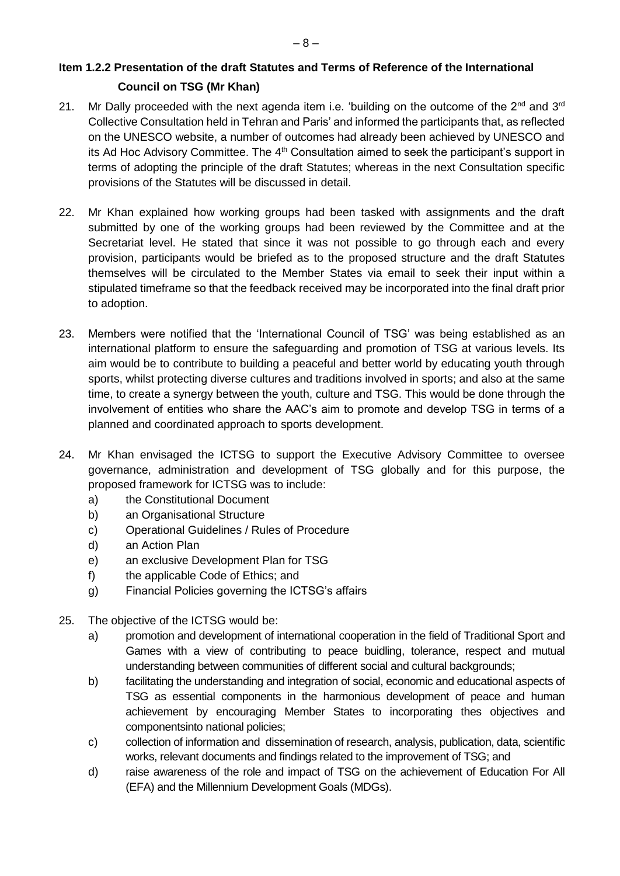### **Item 1.2.2 Presentation of the draft Statutes and Terms of Reference of the International Council on TSG (Mr Khan)**

- 21. Mr Dally proceeded with the next agenda item i.e. 'building on the outcome of the  $2^{nd}$  and  $3^{rd}$ Collective Consultation held in Tehran and Paris' and informed the participants that, as reflected on the UNESCO website, a number of outcomes had already been achieved by UNESCO and its Ad Hoc Advisory Committee. The  $4<sup>th</sup>$  Consultation aimed to seek the participant's support in terms of adopting the principle of the draft Statutes; whereas in the next Consultation specific provisions of the Statutes will be discussed in detail.
- 22. Mr Khan explained how working groups had been tasked with assignments and the draft submitted by one of the working groups had been reviewed by the Committee and at the Secretariat level. He stated that since it was not possible to go through each and every provision, participants would be briefed as to the proposed structure and the draft Statutes themselves will be circulated to the Member States via email to seek their input within a stipulated timeframe so that the feedback received may be incorporated into the final draft prior to adoption.
- 23. Members were notified that the 'International Council of TSG' was being established as an international platform to ensure the safeguarding and promotion of TSG at various levels. Its aim would be to contribute to building a peaceful and better world by educating youth through sports, whilst protecting diverse cultures and traditions involved in sports; and also at the same time, to create a synergy between the youth, culture and TSG. This would be done through the involvement of entities who share the AAC's aim to promote and develop TSG in terms of a planned and coordinated approach to sports development.
- 24. Mr Khan envisaged the ICTSG to support the Executive Advisory Committee to oversee governance, administration and development of TSG globally and for this purpose, the proposed framework for ICTSG was to include:
	- a) the Constitutional Document
	- b) an Organisational Structure
	- c) Operational Guidelines / Rules of Procedure
	- d) an Action Plan
	- e) an exclusive Development Plan for TSG
	- f) the applicable Code of Ethics; and
	- g) Financial Policies governing the ICTSG's affairs
- 25. The objective of the ICTSG would be:
	- a) promotion and development of international cooperation in the field of Traditional Sport and Games with a view of contributing to peace buidling, tolerance, respect and mutual understanding between communities of different social and cultural backgrounds;
	- b) facilitating the understanding and integration of social, economic and educational aspects of TSG as essential components in the harmonious development of peace and human achievement by encouraging Member States to incorporating thes objectives and componentsinto national policies;
	- c) collection of information and dissemination of research, analysis, publication, data, scientific works, relevant documents and findings related to the improvement of TSG; and
	- d) raise awareness of the role and impact of TSG on the achievement of Education For All (EFA) and the Millennium Development Goals (MDGs).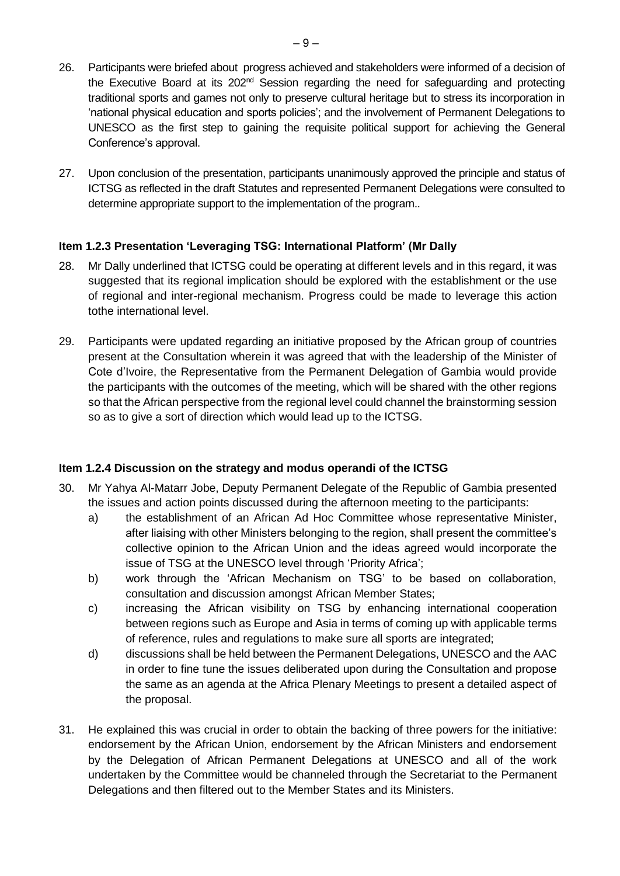- 26. Participants were briefed about progress achieved and stakeholders were informed of a decision of the Executive Board at its 202<sup>nd</sup> Session regarding the need for safeguarding and protecting traditional sports and games not only to preserve cultural heritage but to stress its incorporation in 'national physical education and sports policies'; and the involvement of Permanent Delegations to UNESCO as the first step to gaining the requisite political support for achieving the General Conference's approval.
- 27. Upon conclusion of the presentation, participants unanimously approved the principle and status of ICTSG as reflected in the draft Statutes and represented Permanent Delegations were consulted to determine appropriate support to the implementation of the program..

#### **Item 1.2.3 Presentation 'Leveraging TSG: International Platform' (Mr Dally**

- 28. Mr Dally underlined that ICTSG could be operating at different levels and in this regard, it was suggested that its regional implication should be explored with the establishment or the use of regional and inter-regional mechanism. Progress could be made to leverage this action tothe international level.
- 29. Participants were updated regarding an initiative proposed by the African group of countries present at the Consultation wherein it was agreed that with the leadership of the Minister of Cote d'Ivoire, the Representative from the Permanent Delegation of Gambia would provide the participants with the outcomes of the meeting, which will be shared with the other regions so that the African perspective from the regional level could channel the brainstorming session so as to give a sort of direction which would lead up to the ICTSG.

#### **Item 1.2.4 Discussion on the strategy and modus operandi of the ICTSG**

- 30. Mr Yahya Al-Matarr Jobe, Deputy Permanent Delegate of the Republic of Gambia presented the issues and action points discussed during the afternoon meeting to the participants:
	- a) the establishment of an African Ad Hoc Committee whose representative Minister, after liaising with other Ministers belonging to the region, shall present the committee's collective opinion to the African Union and the ideas agreed would incorporate the issue of TSG at the UNESCO level through 'Priority Africa';
	- b) work through the 'African Mechanism on TSG' to be based on collaboration, consultation and discussion amongst African Member States;
	- c) increasing the African visibility on TSG by enhancing international cooperation between regions such as Europe and Asia in terms of coming up with applicable terms of reference, rules and regulations to make sure all sports are integrated;
	- d) discussions shall be held between the Permanent Delegations, UNESCO and the AAC in order to fine tune the issues deliberated upon during the Consultation and propose the same as an agenda at the Africa Plenary Meetings to present a detailed aspect of the proposal.
- 31. He explained this was crucial in order to obtain the backing of three powers for the initiative: endorsement by the African Union, endorsement by the African Ministers and endorsement by the Delegation of African Permanent Delegations at UNESCO and all of the work undertaken by the Committee would be channeled through the Secretariat to the Permanent Delegations and then filtered out to the Member States and its Ministers.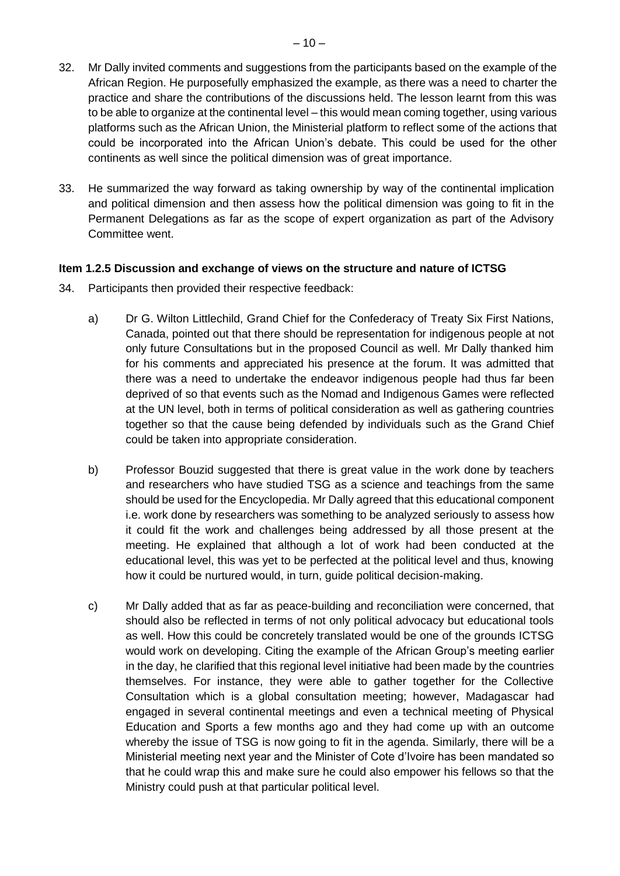- 32. Mr Dally invited comments and suggestions from the participants based on the example of the African Region. He purposefully emphasized the example, as there was a need to charter the practice and share the contributions of the discussions held. The lesson learnt from this was to be able to organize at the continental level – this would mean coming together, using various platforms such as the African Union, the Ministerial platform to reflect some of the actions that could be incorporated into the African Union's debate. This could be used for the other continents as well since the political dimension was of great importance.
- 33. He summarized the way forward as taking ownership by way of the continental implication and political dimension and then assess how the political dimension was going to fit in the Permanent Delegations as far as the scope of expert organization as part of the Advisory Committee went.

#### **Item 1.2.5 Discussion and exchange of views on the structure and nature of ICTSG**

- 34. Participants then provided their respective feedback:
	- a) Dr G. Wilton Littlechild, Grand Chief for the Confederacy of Treaty Six First Nations, Canada, pointed out that there should be representation for indigenous people at not only future Consultations but in the proposed Council as well. Mr Dally thanked him for his comments and appreciated his presence at the forum. It was admitted that there was a need to undertake the endeavor indigenous people had thus far been deprived of so that events such as the Nomad and Indigenous Games were reflected at the UN level, both in terms of political consideration as well as gathering countries together so that the cause being defended by individuals such as the Grand Chief could be taken into appropriate consideration.
	- b) Professor Bouzid suggested that there is great value in the work done by teachers and researchers who have studied TSG as a science and teachings from the same should be used for the Encyclopedia. Mr Dally agreed that this educational component i.e. work done by researchers was something to be analyzed seriously to assess how it could fit the work and challenges being addressed by all those present at the meeting. He explained that although a lot of work had been conducted at the educational level, this was yet to be perfected at the political level and thus, knowing how it could be nurtured would, in turn, guide political decision-making.
	- c) Mr Dally added that as far as peace-building and reconciliation were concerned, that should also be reflected in terms of not only political advocacy but educational tools as well. How this could be concretely translated would be one of the grounds ICTSG would work on developing. Citing the example of the African Group's meeting earlier in the day, he clarified that this regional level initiative had been made by the countries themselves. For instance, they were able to gather together for the Collective Consultation which is a global consultation meeting; however, Madagascar had engaged in several continental meetings and even a technical meeting of Physical Education and Sports a few months ago and they had come up with an outcome whereby the issue of TSG is now going to fit in the agenda. Similarly, there will be a Ministerial meeting next year and the Minister of Cote d'Ivoire has been mandated so that he could wrap this and make sure he could also empower his fellows so that the Ministry could push at that particular political level.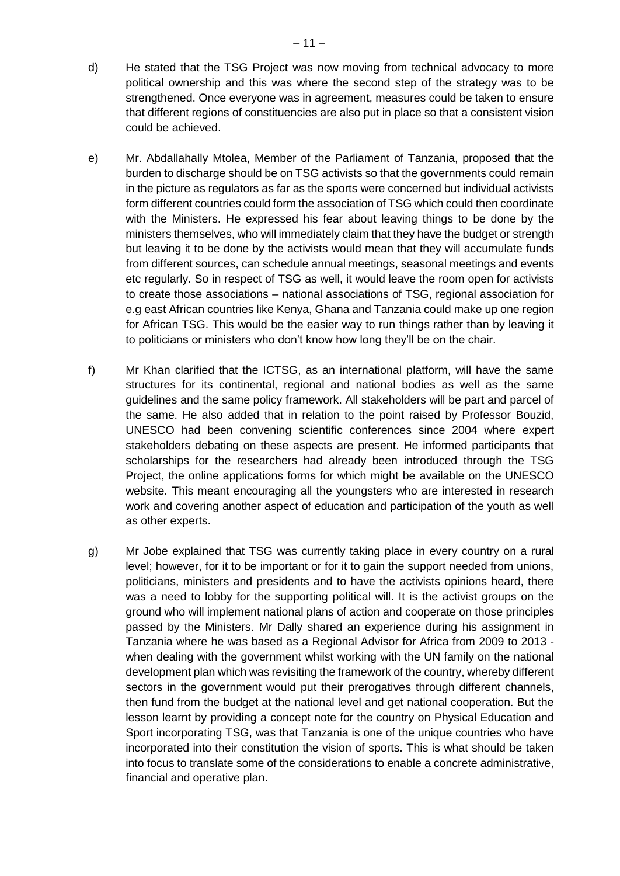- d) He stated that the TSG Project was now moving from technical advocacy to more political ownership and this was where the second step of the strategy was to be strengthened. Once everyone was in agreement, measures could be taken to ensure that different regions of constituencies are also put in place so that a consistent vision could be achieved.
- e) Mr. Abdallahally Mtolea, Member of the Parliament of Tanzania, proposed that the burden to discharge should be on TSG activists so that the governments could remain in the picture as regulators as far as the sports were concerned but individual activists form different countries could form the association of TSG which could then coordinate with the Ministers. He expressed his fear about leaving things to be done by the ministers themselves, who will immediately claim that they have the budget or strength but leaving it to be done by the activists would mean that they will accumulate funds from different sources, can schedule annual meetings, seasonal meetings and events etc regularly. So in respect of TSG as well, it would leave the room open for activists to create those associations – national associations of TSG, regional association for e.g east African countries like Kenya, Ghana and Tanzania could make up one region for African TSG. This would be the easier way to run things rather than by leaving it to politicians or ministers who don't know how long they'll be on the chair.
- f) Mr Khan clarified that the ICTSG, as an international platform, will have the same structures for its continental, regional and national bodies as well as the same guidelines and the same policy framework. All stakeholders will be part and parcel of the same. He also added that in relation to the point raised by Professor Bouzid, UNESCO had been convening scientific conferences since 2004 where expert stakeholders debating on these aspects are present. He informed participants that scholarships for the researchers had already been introduced through the TSG Project, the online applications forms for which might be available on the UNESCO website. This meant encouraging all the youngsters who are interested in research work and covering another aspect of education and participation of the youth as well as other experts.
- g) Mr Jobe explained that TSG was currently taking place in every country on a rural level; however, for it to be important or for it to gain the support needed from unions, politicians, ministers and presidents and to have the activists opinions heard, there was a need to lobby for the supporting political will. It is the activist groups on the ground who will implement national plans of action and cooperate on those principles passed by the Ministers. Mr Dally shared an experience during his assignment in Tanzania where he was based as a Regional Advisor for Africa from 2009 to 2013 when dealing with the government whilst working with the UN family on the national development plan which was revisiting the framework of the country, whereby different sectors in the government would put their prerogatives through different channels, then fund from the budget at the national level and get national cooperation. But the lesson learnt by providing a concept note for the country on Physical Education and Sport incorporating TSG, was that Tanzania is one of the unique countries who have incorporated into their constitution the vision of sports. This is what should be taken into focus to translate some of the considerations to enable a concrete administrative, financial and operative plan.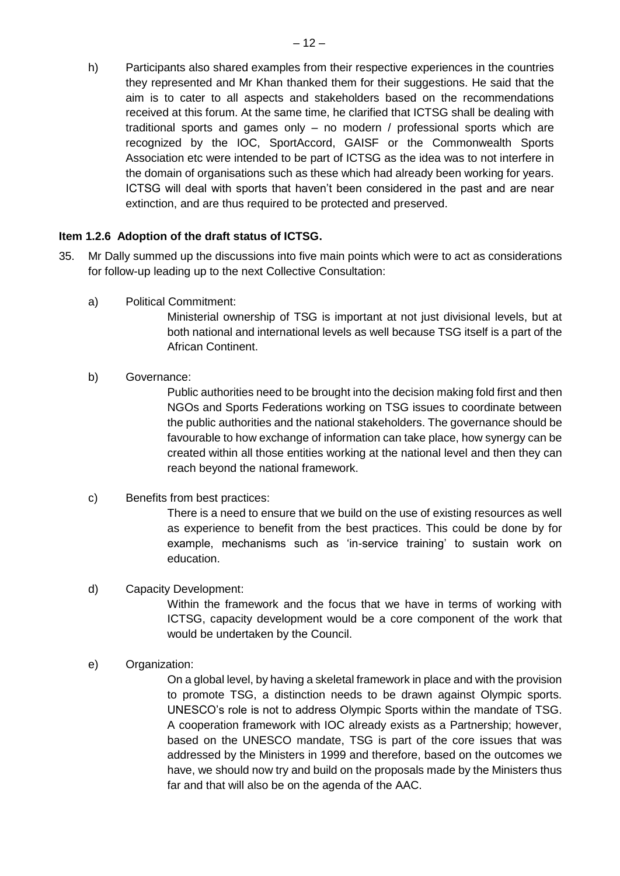h) Participants also shared examples from their respective experiences in the countries they represented and Mr Khan thanked them for their suggestions. He said that the aim is to cater to all aspects and stakeholders based on the recommendations received at this forum. At the same time, he clarified that ICTSG shall be dealing with traditional sports and games only – no modern / professional sports which are recognized by the IOC, SportAccord, GAISF or the Commonwealth Sports Association etc were intended to be part of ICTSG as the idea was to not interfere in the domain of organisations such as these which had already been working for years. ICTSG will deal with sports that haven't been considered in the past and are near extinction, and are thus required to be protected and preserved.

#### **Item 1.2.6 Adoption of the draft status of ICTSG.**

- 35. Mr Dally summed up the discussions into five main points which were to act as considerations for follow-up leading up to the next Collective Consultation:
	- a) Political Commitment:

Ministerial ownership of TSG is important at not just divisional levels, but at both national and international levels as well because TSG itself is a part of the African Continent.

#### b) Governance:

Public authorities need to be brought into the decision making fold first and then NGOs and Sports Federations working on TSG issues to coordinate between the public authorities and the national stakeholders. The governance should be favourable to how exchange of information can take place, how synergy can be created within all those entities working at the national level and then they can reach beyond the national framework.

#### c) Benefits from best practices:

There is a need to ensure that we build on the use of existing resources as well as experience to benefit from the best practices. This could be done by for example, mechanisms such as 'in-service training' to sustain work on education.

#### d) Capacity Development:

Within the framework and the focus that we have in terms of working with ICTSG, capacity development would be a core component of the work that would be undertaken by the Council.

#### e) Organization:

On a global level, by having a skeletal framework in place and with the provision to promote TSG, a distinction needs to be drawn against Olympic sports. UNESCO's role is not to address Olympic Sports within the mandate of TSG. A cooperation framework with IOC already exists as a Partnership; however, based on the UNESCO mandate, TSG is part of the core issues that was addressed by the Ministers in 1999 and therefore, based on the outcomes we have, we should now try and build on the proposals made by the Ministers thus far and that will also be on the agenda of the AAC.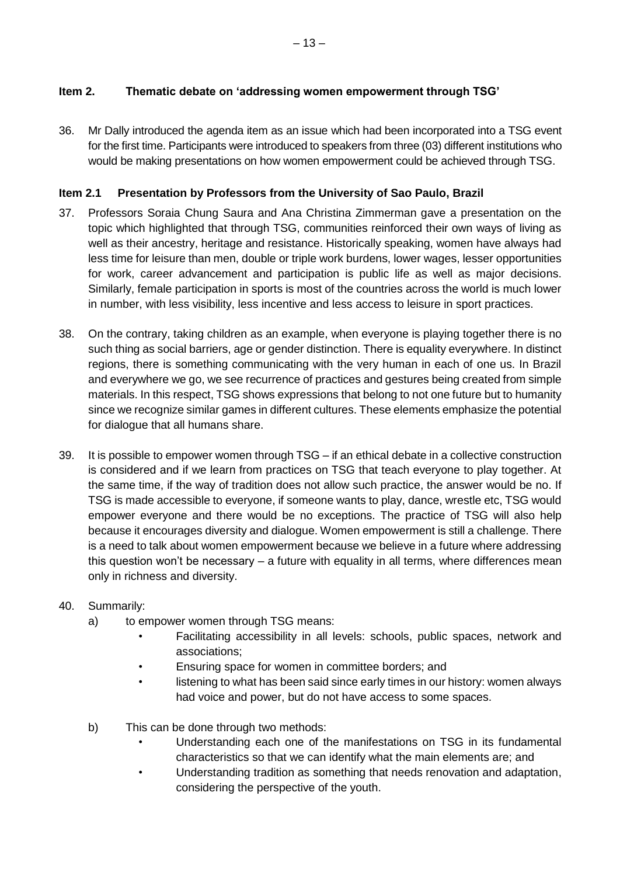#### **Item 2. Thematic debate on 'addressing women empowerment through TSG'**

36. Mr Dally introduced the agenda item as an issue which had been incorporated into a TSG event for the first time. Participants were introduced to speakers from three (03) different institutions who would be making presentations on how women empowerment could be achieved through TSG.

#### **Item 2.1 Presentation by Professors from the University of Sao Paulo, Brazil**

- 37. Professors Soraia Chung Saura and Ana Christina Zimmerman gave a presentation on the topic which highlighted that through TSG, communities reinforced their own ways of living as well as their ancestry, heritage and resistance. Historically speaking, women have always had less time for leisure than men, double or triple work burdens, lower wages, lesser opportunities for work, career advancement and participation is public life as well as major decisions. Similarly, female participation in sports is most of the countries across the world is much lower in number, with less visibility, less incentive and less access to leisure in sport practices.
- 38. On the contrary, taking children as an example, when everyone is playing together there is no such thing as social barriers, age or gender distinction. There is equality everywhere. In distinct regions, there is something communicating with the very human in each of one us. In Brazil and everywhere we go, we see recurrence of practices and gestures being created from simple materials. In this respect, TSG shows expressions that belong to not one future but to humanity since we recognize similar games in different cultures. These elements emphasize the potential for dialogue that all humans share.
- 39. It is possible to empower women through TSG if an ethical debate in a collective construction is considered and if we learn from practices on TSG that teach everyone to play together. At the same time, if the way of tradition does not allow such practice, the answer would be no. If TSG is made accessible to everyone, if someone wants to play, dance, wrestle etc, TSG would empower everyone and there would be no exceptions. The practice of TSG will also help because it encourages diversity and dialogue. Women empowerment is still a challenge. There is a need to talk about women empowerment because we believe in a future where addressing this question won't be necessary – a future with equality in all terms, where differences mean only in richness and diversity.

#### 40. Summarily:

- a) to empower women through TSG means:
	- Facilitating accessibility in all levels: schools, public spaces, network and associations;
	- Ensuring space for women in committee borders; and
	- listening to what has been said since early times in our history: women always had voice and power, but do not have access to some spaces.
- b) This can be done through two methods:
	- Understanding each one of the manifestations on TSG in its fundamental characteristics so that we can identify what the main elements are; and
	- Understanding tradition as something that needs renovation and adaptation, considering the perspective of the youth.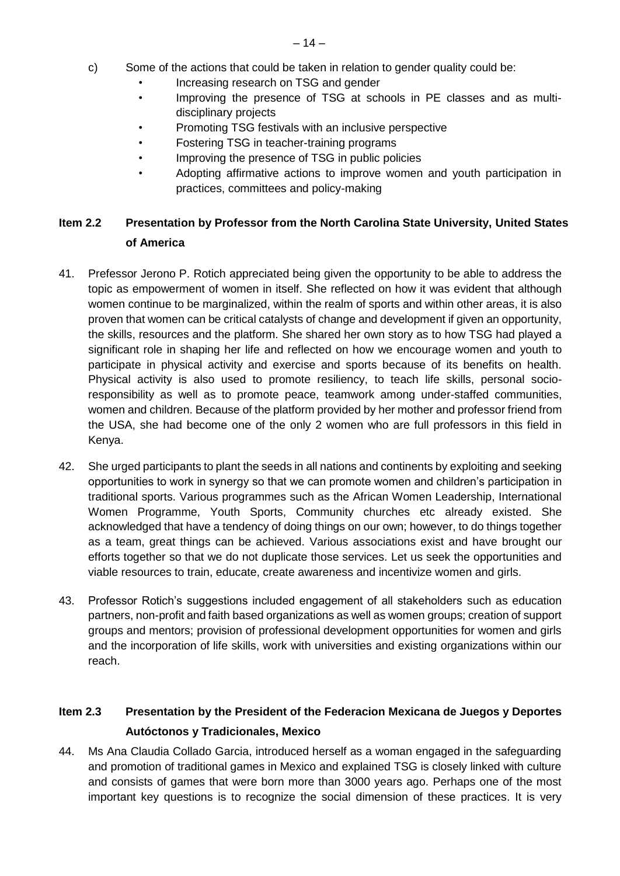- c) Some of the actions that could be taken in relation to gender quality could be:
	- Increasing research on TSG and gender
	- Improving the presence of TSG at schools in PE classes and as multidisciplinary projects
	- Promoting TSG festivals with an inclusive perspective
	- Fostering TSG in teacher-training programs
	- Improving the presence of TSG in public policies
	- Adopting affirmative actions to improve women and youth participation in practices, committees and policy-making

## **Item 2.2 Presentation by Professor from the North Carolina State University, United States of America**

- 41. Prefessor Jerono P. Rotich appreciated being given the opportunity to be able to address the topic as empowerment of women in itself. She reflected on how it was evident that although women continue to be marginalized, within the realm of sports and within other areas, it is also proven that women can be critical catalysts of change and development if given an opportunity, the skills, resources and the platform. She shared her own story as to how TSG had played a significant role in shaping her life and reflected on how we encourage women and youth to participate in physical activity and exercise and sports because of its benefits on health. Physical activity is also used to promote resiliency, to teach life skills, personal socioresponsibility as well as to promote peace, teamwork among under-staffed communities, women and children. Because of the platform provided by her mother and professor friend from the USA, she had become one of the only 2 women who are full professors in this field in Kenya.
- 42. She urged participants to plant the seeds in all nations and continents by exploiting and seeking opportunities to work in synergy so that we can promote women and children's participation in traditional sports. Various programmes such as the African Women Leadership, International Women Programme, Youth Sports, Community churches etc already existed. She acknowledged that have a tendency of doing things on our own; however, to do things together as a team, great things can be achieved. Various associations exist and have brought our efforts together so that we do not duplicate those services. Let us seek the opportunities and viable resources to train, educate, create awareness and incentivize women and girls.
- 43. Professor Rotich's suggestions included engagement of all stakeholders such as education partners, non-profit and faith based organizations as well as women groups; creation of support groups and mentors; provision of professional development opportunities for women and girls and the incorporation of life skills, work with universities and existing organizations within our reach.

## **Item 2.3 Presentation by the President of the Federacion Mexicana de Juegos y Deportes Autóctonos y Tradicionales, Mexico**

44. Ms Ana Claudia Collado Garcia, introduced herself as a woman engaged in the safeguarding and promotion of traditional games in Mexico and explained TSG is closely linked with culture and consists of games that were born more than 3000 years ago. Perhaps one of the most important key questions is to recognize the social dimension of these practices. It is very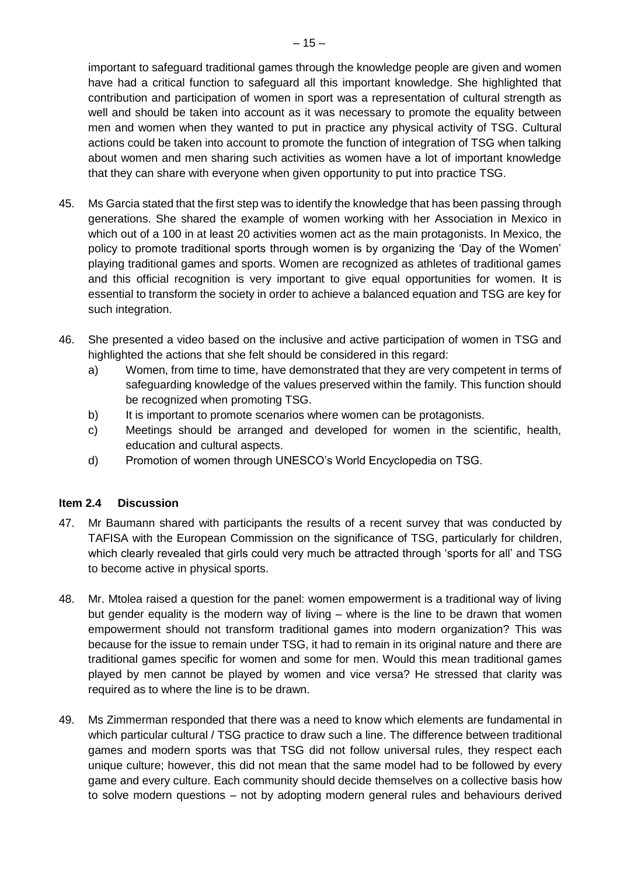important to safeguard traditional games through the knowledge people are given and women have had a critical function to safeguard all this important knowledge. She highlighted that contribution and participation of women in sport was a representation of cultural strength as well and should be taken into account as it was necessary to promote the equality between men and women when they wanted to put in practice any physical activity of TSG. Cultural actions could be taken into account to promote the function of integration of TSG when talking about women and men sharing such activities as women have a lot of important knowledge that they can share with everyone when given opportunity to put into practice TSG.

- 45. Ms Garcia stated that the first step was to identify the knowledge that has been passing through generations. She shared the example of women working with her Association in Mexico in which out of a 100 in at least 20 activities women act as the main protagonists. In Mexico, the policy to promote traditional sports through women is by organizing the 'Day of the Women' playing traditional games and sports. Women are recognized as athletes of traditional games and this official recognition is very important to give equal opportunities for women. It is essential to transform the society in order to achieve a balanced equation and TSG are key for such integration.
- 46. She presented a video based on the inclusive and active participation of women in TSG and highlighted the actions that she felt should be considered in this regard:
	- a) Women, from time to time, have demonstrated that they are very competent in terms of safeguarding knowledge of the values preserved within the family. This function should be recognized when promoting TSG.
	- b) It is important to promote scenarios where women can be protagonists.
	- c) Meetings should be arranged and developed for women in the scientific, health, education and cultural aspects.
	- d) Promotion of women through UNESCO's World Encyclopedia on TSG.

#### **Item 2.4 Discussion**

- 47. Mr Baumann shared with participants the results of a recent survey that was conducted by TAFISA with the European Commission on the significance of TSG, particularly for children, which clearly revealed that girls could very much be attracted through 'sports for all' and TSG to become active in physical sports.
- 48. Mr. Mtolea raised a question for the panel: women empowerment is a traditional way of living but gender equality is the modern way of living – where is the line to be drawn that women empowerment should not transform traditional games into modern organization? This was because for the issue to remain under TSG, it had to remain in its original nature and there are traditional games specific for women and some for men. Would this mean traditional games played by men cannot be played by women and vice versa? He stressed that clarity was required as to where the line is to be drawn.
- 49. Ms Zimmerman responded that there was a need to know which elements are fundamental in which particular cultural / TSG practice to draw such a line. The difference between traditional games and modern sports was that TSG did not follow universal rules, they respect each unique culture; however, this did not mean that the same model had to be followed by every game and every culture. Each community should decide themselves on a collective basis how to solve modern questions – not by adopting modern general rules and behaviours derived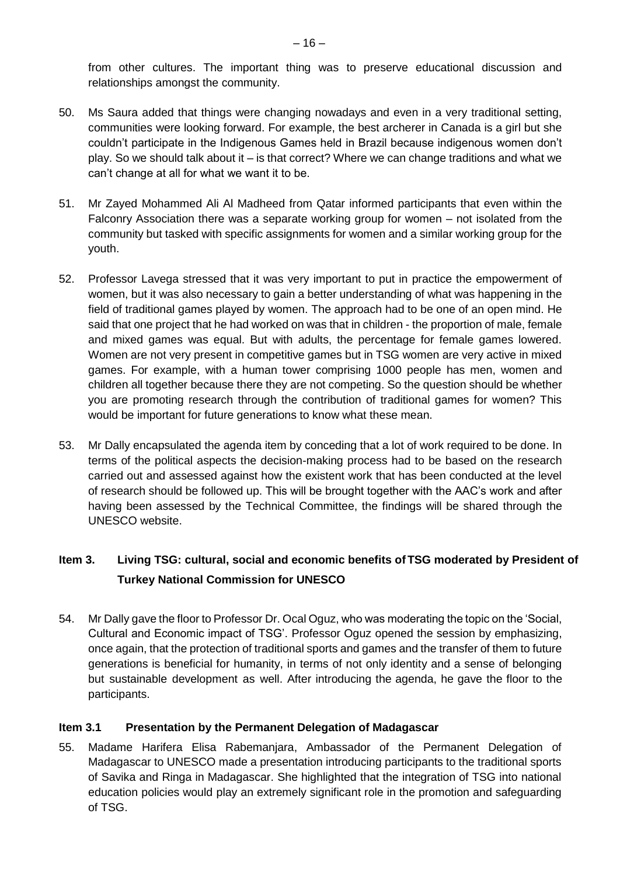from other cultures. The important thing was to preserve educational discussion and relationships amongst the community.

- 50. Ms Saura added that things were changing nowadays and even in a very traditional setting, communities were looking forward. For example, the best archerer in Canada is a girl but she couldn't participate in the Indigenous Games held in Brazil because indigenous women don't play. So we should talk about it – is that correct? Where we can change traditions and what we can't change at all for what we want it to be.
- 51. Mr Zayed Mohammed Ali Al Madheed from Qatar informed participants that even within the Falconry Association there was a separate working group for women – not isolated from the community but tasked with specific assignments for women and a similar working group for the youth.
- 52. Professor Lavega stressed that it was very important to put in practice the empowerment of women, but it was also necessary to gain a better understanding of what was happening in the field of traditional games played by women. The approach had to be one of an open mind. He said that one project that he had worked on was that in children - the proportion of male, female and mixed games was equal. But with adults, the percentage for female games lowered. Women are not very present in competitive games but in TSG women are very active in mixed games. For example, with a human tower comprising 1000 people has men, women and children all together because there they are not competing. So the question should be whether you are promoting research through the contribution of traditional games for women? This would be important for future generations to know what these mean.
- 53. Mr Dally encapsulated the agenda item by conceding that a lot of work required to be done. In terms of the political aspects the decision-making process had to be based on the research carried out and assessed against how the existent work that has been conducted at the level of research should be followed up. This will be brought together with the AAC's work and after having been assessed by the Technical Committee, the findings will be shared through the UNESCO website.

## **Item 3. Living TSG: cultural, social and economic benefits of TSG moderated by President of Turkey National Commission for UNESCO**

54. Mr Dally gave the floor to Professor Dr. Ocal Oguz, who was moderating the topic on the 'Social, Cultural and Economic impact of TSG'. Professor Oguz opened the session by emphasizing, once again, that the protection of traditional sports and games and the transfer of them to future generations is beneficial for humanity, in terms of not only identity and a sense of belonging but sustainable development as well. After introducing the agenda, he gave the floor to the participants.

#### **Item 3.1 Presentation by the Permanent Delegation of Madagascar**

55. Madame Harifera Elisa Rabemanjara, Ambassador of the Permanent Delegation of Madagascar to UNESCO made a presentation introducing participants to the traditional sports of Savika and Ringa in Madagascar. She highlighted that the integration of TSG into national education policies would play an extremely significant role in the promotion and safeguarding of TSG.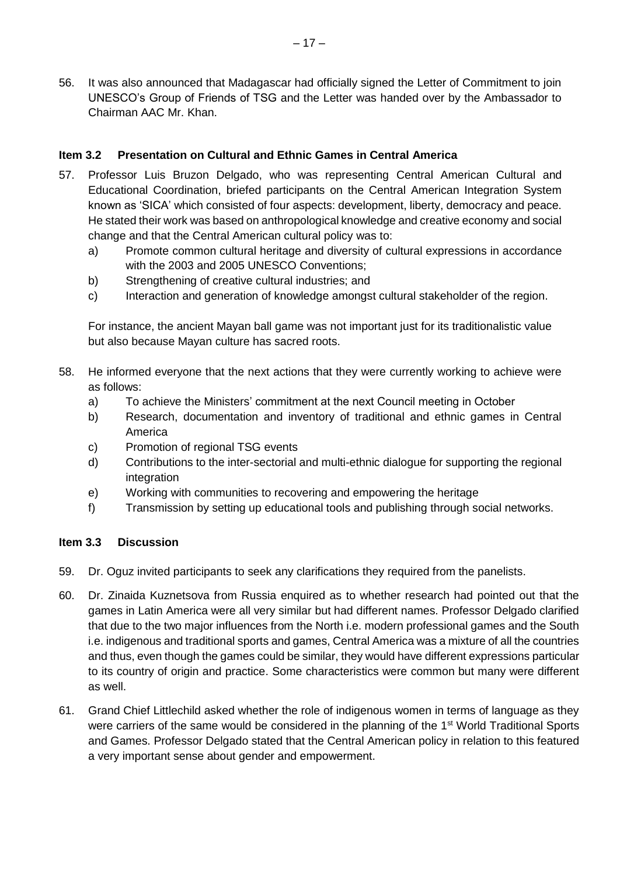56. It was also announced that Madagascar had officially signed the Letter of Commitment to join UNESCO's Group of Friends of TSG and the Letter was handed over by the Ambassador to Chairman AAC Mr. Khan.

#### **Item 3.2 Presentation on Cultural and Ethnic Games in Central America**

- 57. Professor Luis Bruzon Delgado, who was representing Central American Cultural and Educational Coordination, briefed participants on the Central American Integration System known as 'SICA' which consisted of four aspects: development, liberty, democracy and peace. He stated their work was based on anthropological knowledge and creative economy and social change and that the Central American cultural policy was to:
	- a) Promote common cultural heritage and diversity of cultural expressions in accordance with the 2003 and 2005 UNESCO Conventions;
	- b) Strengthening of creative cultural industries; and
	- c) Interaction and generation of knowledge amongst cultural stakeholder of the region.

For instance, the ancient Mayan ball game was not important just for its traditionalistic value but also because Mayan culture has sacred roots.

- 58. He informed everyone that the next actions that they were currently working to achieve were as follows:
	- a) To achieve the Ministers' commitment at the next Council meeting in October
	- b) Research, documentation and inventory of traditional and ethnic games in Central America
	- c) Promotion of regional TSG events
	- d) Contributions to the inter-sectorial and multi-ethnic dialogue for supporting the regional integration
	- e) Working with communities to recovering and empowering the heritage
	- f) Transmission by setting up educational tools and publishing through social networks.

#### **Item 3.3 Discussion**

- 59. Dr. Oguz invited participants to seek any clarifications they required from the panelists.
- 60. Dr. Zinaida Kuznetsova from Russia enquired as to whether research had pointed out that the games in Latin America were all very similar but had different names. Professor Delgado clarified that due to the two major influences from the North i.e. modern professional games and the South i.e. indigenous and traditional sports and games, Central America was a mixture of all the countries and thus, even though the games could be similar, they would have different expressions particular to its country of origin and practice. Some characteristics were common but many were different as well.
- 61. Grand Chief Littlechild asked whether the role of indigenous women in terms of language as they were carriers of the same would be considered in the planning of the 1<sup>st</sup> World Traditional Sports and Games. Professor Delgado stated that the Central American policy in relation to this featured a very important sense about gender and empowerment.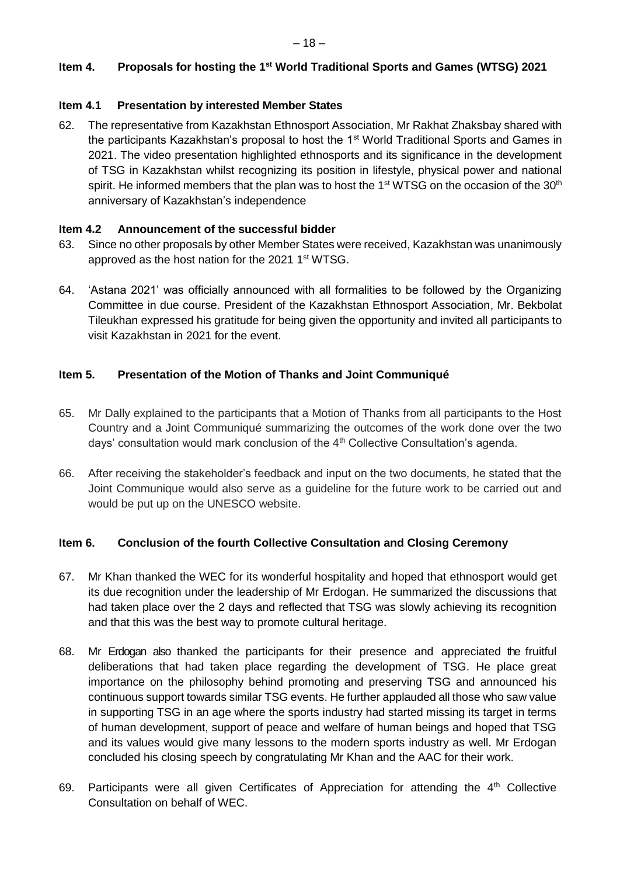#### **Item 4. Proposals for hosting the 1st World Traditional Sports and Games (WTSG) 2021**

#### **Item 4.1 Presentation by interested Member States**

62. The representative from Kazakhstan Ethnosport Association, Mr Rakhat Zhaksbay shared with the participants Kazakhstan's proposal to host the  $1<sup>st</sup>$  World Traditional Sports and Games in 2021. The video presentation highlighted ethnosports and its significance in the development of TSG in Kazakhstan whilst recognizing its position in lifestyle, physical power and national spirit. He informed members that the plan was to host the  $1<sup>st</sup> WTSG$  on the occasion of the  $30<sup>th</sup>$ anniversary of Kazakhstan's independence

#### **Item 4.2 Announcement of the successful bidder**

- 63. Since no other proposals by other Member States were received, Kazakhstan was unanimously approved as the host nation for the 2021 1<sup>st</sup> WTSG.
- 64. 'Astana 2021' was officially announced with all formalities to be followed by the Organizing Committee in due course. President of the Kazakhstan Ethnosport Association, Mr. Bekbolat Tileukhan expressed his gratitude for being given the opportunity and invited all participants to visit Kazakhstan in 2021 for the event.

#### **Item 5. Presentation of the Motion of Thanks and Joint Communiqué**

- 65. Mr Dally explained to the participants that a Motion of Thanks from all participants to the Host Country and a Joint Communiqué summarizing the outcomes of the work done over the two days' consultation would mark conclusion of the  $4<sup>th</sup>$  Collective Consultation's agenda.
- 66. After receiving the stakeholder's feedback and input on the two documents, he stated that the Joint Communique would also serve as a guideline for the future work to be carried out and would be put up on the UNESCO website.

#### **Item 6. Conclusion of the fourth Collective Consultation and Closing Ceremony**

- 67. Mr Khan thanked the WEC for its wonderful hospitality and hoped that ethnosport would get its due recognition under the leadership of Mr Erdogan. He summarized the discussions that had taken place over the 2 days and reflected that TSG was slowly achieving its recognition and that this was the best way to promote cultural heritage.
- 68. Mr Erdogan also thanked the participants for their presence and appreciated the fruitful deliberations that had taken place regarding the development of TSG. He place great importance on the philosophy behind promoting and preserving TSG and announced his continuous support towards similar TSG events. He further applauded all those who saw value in supporting TSG in an age where the sports industry had started missing its target in terms of human development, support of peace and welfare of human beings and hoped that TSG and its values would give many lessons to the modern sports industry as well. Mr Erdogan concluded his closing speech by congratulating Mr Khan and the AAC for their work.
- 69. Participants were all given Certificates of Appreciation for attending the  $4<sup>th</sup>$  Collective Consultation on behalf of WEC.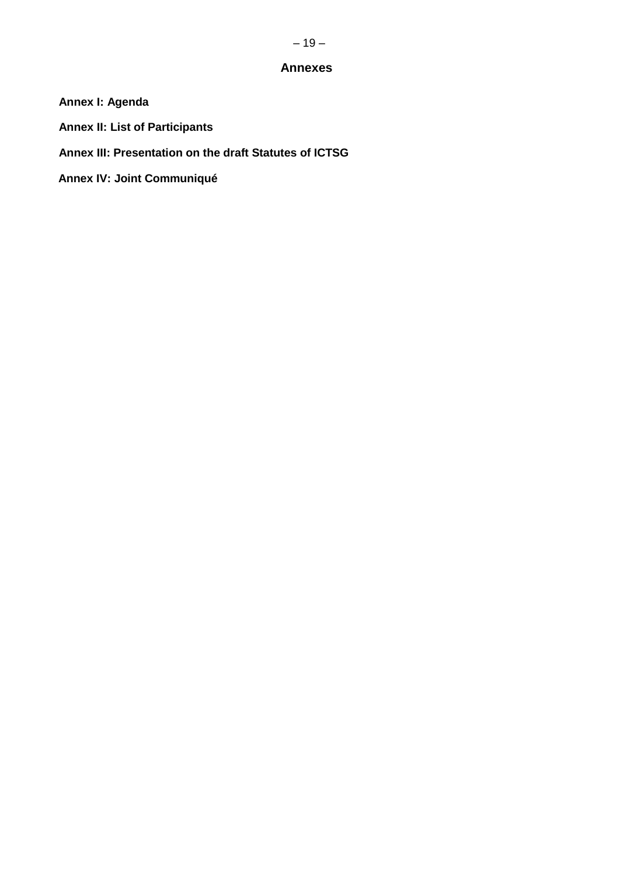#### **Annexes**

- **Annex I: Agenda**
- **Annex II: List of Participants**
- **Annex III: Presentation on the draft Statutes of ICTSG**
- **Annex IV: Joint Communiqué**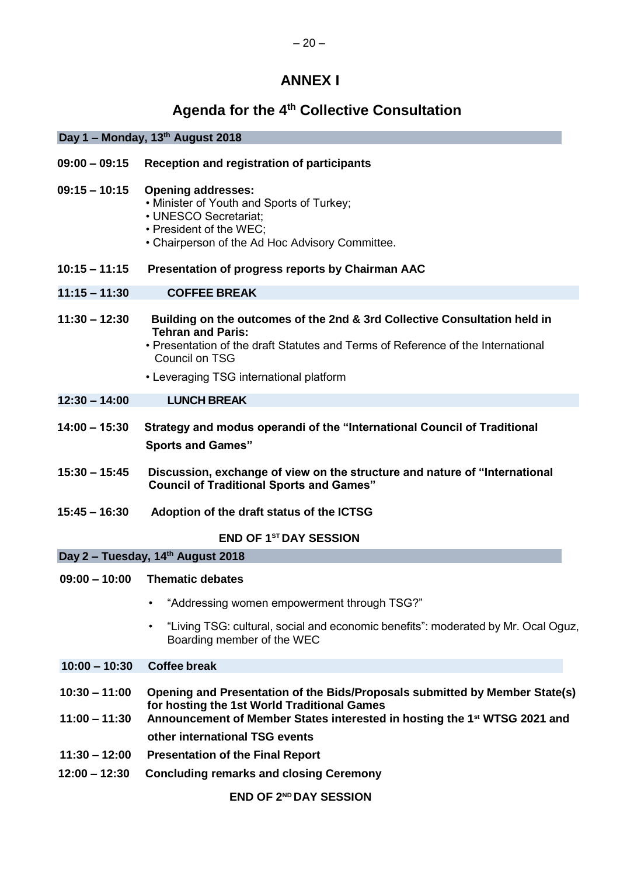# **ANNEX I**

# **Agenda for the 4th Collective Consultation**

|                                    | Day 1 – Monday, 13th August 2018                                                                                                                                                                                                                       |  |  |  |
|------------------------------------|--------------------------------------------------------------------------------------------------------------------------------------------------------------------------------------------------------------------------------------------------------|--|--|--|
| $09:00 - 09:15$                    | <b>Reception and registration of participants</b>                                                                                                                                                                                                      |  |  |  |
| $09:15 - 10:15$                    | <b>Opening addresses:</b><br>• Minister of Youth and Sports of Turkey;<br>• UNESCO Secretariat;<br>• President of the WEC;<br>• Chairperson of the Ad Hoc Advisory Committee.                                                                          |  |  |  |
| $10:15 - 11:15$                    | Presentation of progress reports by Chairman AAC                                                                                                                                                                                                       |  |  |  |
| $11:15 - 11:30$                    | <b>COFFEE BREAK</b>                                                                                                                                                                                                                                    |  |  |  |
| $11:30 - 12:30$                    | Building on the outcomes of the 2nd & 3rd Collective Consultation held in<br><b>Tehran and Paris:</b><br>• Presentation of the draft Statutes and Terms of Reference of the International<br>Council on TSG<br>• Leveraging TSG international platform |  |  |  |
| $12:30 - 14:00$                    | <b>LUNCH BREAK</b>                                                                                                                                                                                                                                     |  |  |  |
| $14:00 - 15:30$                    | Strategy and modus operandi of the "International Council of Traditional<br><b>Sports and Games"</b>                                                                                                                                                   |  |  |  |
| $15:30 - 15:45$                    | Discussion, exchange of view on the structure and nature of "International<br><b>Council of Traditional Sports and Games"</b>                                                                                                                          |  |  |  |
| $15:45 - 16:30$                    | Adoption of the draft status of the ICTSG                                                                                                                                                                                                              |  |  |  |
|                                    | <b>END OF 1ST DAY SESSION</b>                                                                                                                                                                                                                          |  |  |  |
|                                    | Day 2 - Tuesday, 14th August 2018                                                                                                                                                                                                                      |  |  |  |
| $09:00 - 10:00$                    | <b>Thematic debates</b>                                                                                                                                                                                                                                |  |  |  |
|                                    | "Addressing women empowerment through TSG?"<br>٠                                                                                                                                                                                                       |  |  |  |
|                                    | "Living TSG: cultural, social and economic benefits": moderated by Mr. Ocal Oguz,<br>$\bullet$<br>Boarding member of the WEC                                                                                                                           |  |  |  |
| $10:00 - 10:30$                    | <b>Coffee break</b>                                                                                                                                                                                                                                    |  |  |  |
| $10:30 - 11:00$<br>$11:00 - 11:30$ | Opening and Presentation of the Bids/Proposals submitted by Member State(s)<br>for hosting the 1st World Traditional Games<br>Announcement of Member States interested in hosting the 1 <sup>st</sup> WTSG 2021 and                                    |  |  |  |
|                                    | other international TSG events                                                                                                                                                                                                                         |  |  |  |
| $11:30 - 12:00$                    | <b>Presentation of the Final Report</b>                                                                                                                                                                                                                |  |  |  |
| $12:00 - 12:30$                    | <b>Concluding remarks and closing Ceremony</b>                                                                                                                                                                                                         |  |  |  |
|                                    | <b>END OF 2ND DAY SESSION</b>                                                                                                                                                                                                                          |  |  |  |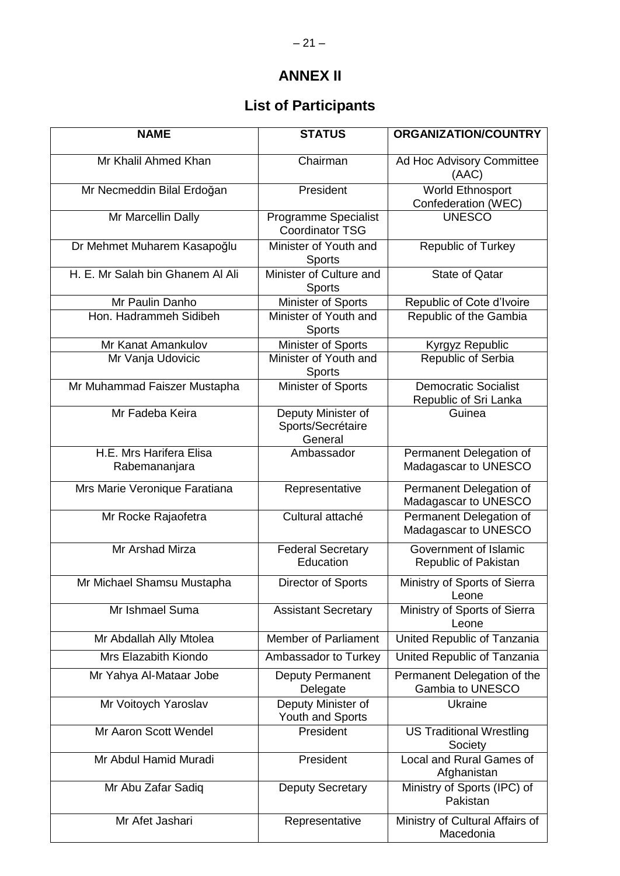# **ANNEX II**

# **List of Participants**

| <b>NAME</b>                              | <b>STATUS</b>                                         | ORGANIZATION/COUNTRY                                 |
|------------------------------------------|-------------------------------------------------------|------------------------------------------------------|
| Mr Khalil Ahmed Khan                     | Chairman                                              | Ad Hoc Advisory Committee<br>(AAC)                   |
| Mr Necmeddin Bilal Erdoğan               | President                                             | World Ethnosport<br>Confederation (WEC)              |
| Mr Marcellin Dally                       | <b>Programme Specialist</b><br><b>Coordinator TSG</b> | <b>UNESCO</b>                                        |
| Dr Mehmet Muharem Kasapoğlu              | Minister of Youth and<br><b>Sports</b>                | Republic of Turkey                                   |
| H. E. Mr Salah bin Ghanem Al Ali         | Minister of Culture and<br><b>Sports</b>              | <b>State of Qatar</b>                                |
| Mr Paulin Danho                          | Minister of Sports                                    | Republic of Cote d'Ivoire                            |
| Hon. Hadrammeh Sidibeh                   | Minister of Youth and<br>Sports                       | Republic of the Gambia                               |
| Mr Kanat Amankulov                       | Minister of Sports                                    | Kyrgyz Republic                                      |
| Mr Vanja Udovicic                        | Minister of Youth and<br><b>Sports</b>                | Republic of Serbia                                   |
| Mr Muhammad Faiszer Mustapha             | Minister of Sports                                    | <b>Democratic Socialist</b><br>Republic of Sri Lanka |
| Mr Fadeba Keira                          | Deputy Minister of<br>Sports/Secrétaire<br>General    | Guinea                                               |
| H.E. Mrs Harifera Elisa<br>Rabemananjara | Ambassador                                            | Permanent Delegation of<br>Madagascar to UNESCO      |
| Mrs Marie Veronique Faratiana            | Representative                                        | Permanent Delegation of<br>Madagascar to UNESCO      |
| Mr Rocke Rajaofetra                      | Cultural attaché                                      | Permanent Delegation of<br>Madagascar to UNESCO      |
| Mr Arshad Mirza                          | <b>Federal Secretary</b><br>Education                 | Government of Islamic<br>Republic of Pakistan        |
| Mr Michael Shamsu Mustapha               | Director of Sports                                    | Ministry of Sports of Sierra<br>Leone                |
| Mr Ishmael Suma                          | <b>Assistant Secretary</b>                            | Ministry of Sports of Sierra<br>Leone                |
| Mr Abdallah Ally Mtolea                  | <b>Member of Parliament</b>                           | United Republic of Tanzania                          |
| Mrs Elazabith Kiondo                     | Ambassador to Turkey                                  | United Republic of Tanzania                          |
| Mr Yahya Al-Mataar Jobe                  | <b>Deputy Permanent</b><br>Delegate                   | Permanent Delegation of the<br>Gambia to UNESCO      |
| Mr Voitoych Yaroslav                     | Deputy Minister of<br>Youth and Sports                | Ukraine                                              |
| Mr Aaron Scott Wendel                    | President                                             | <b>US Traditional Wrestling</b><br>Society           |
| Mr Abdul Hamid Muradi                    | President                                             | Local and Rural Games of<br>Afghanistan              |
| Mr Abu Zafar Sadiq                       | <b>Deputy Secretary</b>                               | Ministry of Sports (IPC) of<br>Pakistan              |
| Mr Afet Jashari                          | Representative                                        | Ministry of Cultural Affairs of<br>Macedonia         |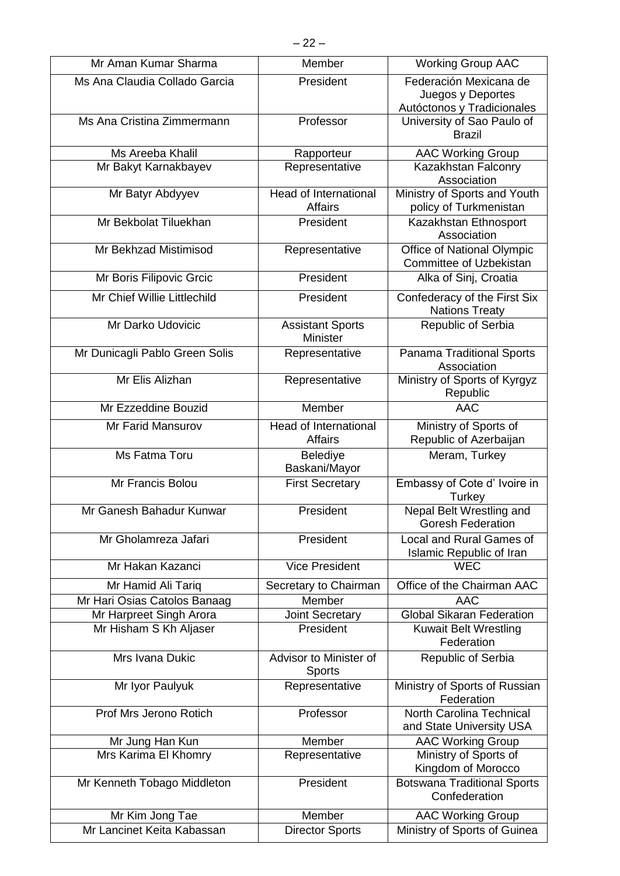| Mr Aman Kumar Sharma           | Member                                         | <b>Working Group AAC</b>                                                  |
|--------------------------------|------------------------------------------------|---------------------------------------------------------------------------|
| Ms Ana Claudia Collado Garcia  | President                                      | Federación Mexicana de<br>Juegos y Deportes<br>Autóctonos y Tradicionales |
| Ms Ana Cristina Zimmermann     | Professor                                      | University of Sao Paulo of<br><b>Brazil</b>                               |
| Ms Areeba Khalil               | Rapporteur                                     | <b>AAC Working Group</b>                                                  |
| Mr Bakyt Karnakbayev           | Representative                                 | Kazakhstan Falconry<br>Association                                        |
| Mr Batyr Abdyyev               | <b>Head of International</b><br>Affairs        | Ministry of Sports and Youth<br>policy of Turkmenistan                    |
| Mr Bekbolat Tiluekhan          | President                                      | Kazakhstan Ethnosport<br>Association                                      |
| Mr Bekhzad Mistimisod          | Representative                                 | Office of National Olympic<br><b>Committee of Uzbekistan</b>              |
| Mr Boris Filipovic Grcic       | President                                      | Alka of Sinj, Croatia                                                     |
| Mr Chief Willie Littlechild    | President                                      | Confederacy of the First Six<br><b>Nations Treaty</b>                     |
| Mr Darko Udovicic              | <b>Assistant Sports</b><br><b>Minister</b>     | Republic of Serbia                                                        |
| Mr Dunicagli Pablo Green Solis | Representative                                 | Panama Traditional Sports<br>Association                                  |
| Mr Elis Alizhan                | Representative                                 | Ministry of Sports of Kyrgyz<br>Republic                                  |
| Mr Ezzeddine Bouzid            | Member                                         | <b>AAC</b>                                                                |
| Mr Farid Mansurov              | <b>Head of International</b><br><b>Affairs</b> | Ministry of Sports of<br>Republic of Azerbaijan                           |
| Ms Fatma Toru                  | Belediye<br>Baskani/Mayor                      | Meram, Turkey                                                             |
| Mr Francis Bolou               | <b>First Secretary</b>                         | Embassy of Cote d' Ivoire in<br>Turkey                                    |
| Mr Ganesh Bahadur Kunwar       | President                                      | Nepal Belt Wrestling and<br><b>Goresh Federation</b>                      |
| Mr Gholamreza Jafari           | President                                      | Local and Rural Games of<br>Islamic Republic of Iran                      |
| Mr Hakan Kazanci               | <b>Vice President</b>                          | <b>WEC</b>                                                                |
| Mr Hamid Ali Tariq             | Secretary to Chairman                          | Office of the Chairman AAC                                                |
| Mr Hari Osias Catolos Banaag   | Member                                         | <b>AAC</b>                                                                |
| Mr Harpreet Singh Arora        | Joint Secretary                                | <b>Global Sikaran Federation</b>                                          |
| Mr Hisham S Kh Aljaser         | President                                      | <b>Kuwait Belt Wrestling</b><br>Federation                                |
| Mrs Ivana Dukic                | Advisor to Minister of<br><b>Sports</b>        | Republic of Serbia                                                        |
| Mr Iyor Paulyuk                | Representative                                 | Ministry of Sports of Russian<br>Federation                               |
| Prof Mrs Jerono Rotich         | Professor                                      | North Carolina Technical<br>and State University USA                      |
| Mr Jung Han Kun                | Member                                         | <b>AAC Working Group</b>                                                  |
| Mrs Karima El Khomry           | Representative                                 | Ministry of Sports of<br>Kingdom of Morocco                               |
| Mr Kenneth Tobago Middleton    | President                                      | <b>Botswana Traditional Sports</b><br>Confederation                       |
| Mr Kim Jong Tae                | Member                                         | <b>AAC Working Group</b>                                                  |
| Mr Lancinet Keita Kabassan     | <b>Director Sports</b>                         | Ministry of Sports of Guinea                                              |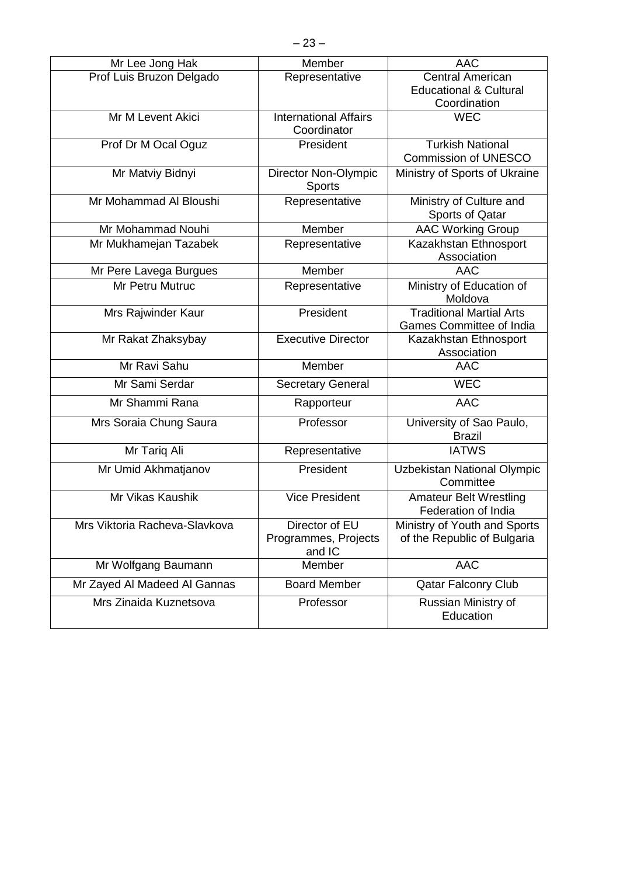| Mr Lee Jong Hak               | Member                                      | <b>AAC</b>                           |
|-------------------------------|---------------------------------------------|--------------------------------------|
| Prof Luis Bruzon Delgado      | Representative                              | <b>Central American</b>              |
|                               |                                             | <b>Educational &amp; Cultural</b>    |
|                               |                                             | Coordination                         |
| Mr M Levent Akici             | <b>International Affairs</b><br>Coordinator | <b>WEC</b>                           |
|                               | President                                   | <b>Turkish National</b>              |
| Prof Dr M Ocal Oguz           |                                             | <b>Commission of UNESCO</b>          |
| Mr Matviy Bidnyi              | Director Non-Olympic                        | Ministry of Sports of Ukraine        |
|                               | Sports                                      |                                      |
| Mr Mohammad Al Bloushi        | Representative                              | Ministry of Culture and              |
|                               |                                             | Sports of Qatar                      |
| Mr Mohammad Nouhi             | Member                                      | <b>AAC Working Group</b>             |
| Mr Mukhamejan Tazabek         | Representative                              | Kazakhstan Ethnosport                |
|                               |                                             | Association                          |
| Mr Pere Lavega Burgues        | Member                                      | <b>AAC</b>                           |
| Mr Petru Mutruc               | Representative                              | Ministry of Education of             |
|                               |                                             | Moldova                              |
| Mrs Rajwinder Kaur            | President                                   | <b>Traditional Martial Arts</b>      |
|                               |                                             | <b>Games Committee of India</b>      |
| Mr Rakat Zhaksybay            | <b>Executive Director</b>                   | Kazakhstan Ethnosport<br>Association |
| Mr Ravi Sahu                  | Member                                      | <b>AAC</b>                           |
|                               |                                             |                                      |
| Mr Sami Serdar                | <b>Secretary General</b>                    | <b>WEC</b>                           |
| Mr Shammi Rana                | Rapporteur                                  | <b>AAC</b>                           |
| Mrs Soraia Chung Saura        | Professor                                   | University of Sao Paulo,             |
|                               |                                             | <b>Brazil</b>                        |
| Mr Tariq Ali                  | Representative                              | <b>IATWS</b>                         |
| Mr Umid Akhmatjanov           | President                                   | Uzbekistan National Olympic          |
|                               |                                             | Committee                            |
| Mr Vikas Kaushik              | <b>Vice President</b>                       | <b>Amateur Belt Wrestling</b>        |
|                               |                                             | Federation of India                  |
| Mrs Viktoria Racheva-Slavkova | Director of EU                              | Ministry of Youth and Sports         |
|                               | Programmes, Projects                        | of the Republic of Bulgaria          |
|                               | and IC<br>Member                            | <b>AAC</b>                           |
| Mr Wolfgang Baumann           |                                             |                                      |
| Mr Zayed Al Madeed Al Gannas  | <b>Board Member</b>                         | <b>Qatar Falconry Club</b>           |
| Mrs Zinaida Kuznetsova        | Professor                                   | Russian Ministry of                  |
|                               |                                             | Education                            |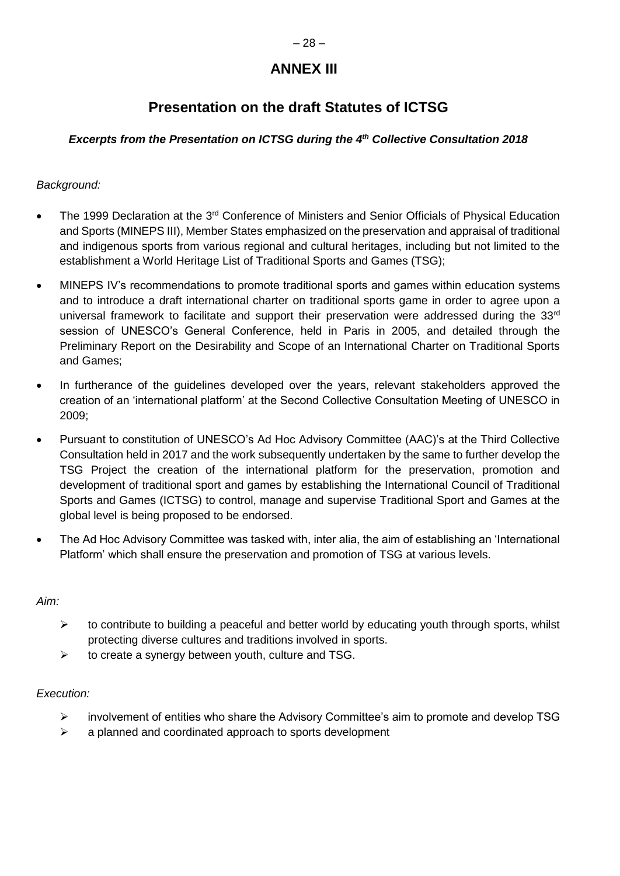## **ANNEX III**

## **Presentation on the draft Statutes of ICTSG**

### *Excerpts from the Presentation on ICTSG during the 4 th Collective Consultation 2018*

### *Background:*

- The 1999 Declaration at the 3<sup>rd</sup> Conference of Ministers and Senior Officials of Physical Education and Sports (MINEPS III), Member States emphasized on the preservation and appraisal of traditional and indigenous sports from various regional and cultural heritages, including but not limited to the establishment a World Heritage List of Traditional Sports and Games (TSG);
- MINEPS IV's recommendations to promote traditional sports and games within education systems and to introduce a draft international charter on traditional sports game in order to agree upon a universal framework to facilitate and support their preservation were addressed during the  $33<sup>rd</sup>$ session of UNESCO's General Conference, held in Paris in 2005, and detailed through the Preliminary Report on the Desirability and Scope of an International Charter on Traditional Sports and Games;
- In furtherance of the guidelines developed over the years, relevant stakeholders approved the creation of an 'international platform' at the Second Collective Consultation Meeting of UNESCO in 2009;
- Pursuant to constitution of UNESCO's Ad Hoc Advisory Committee (AAC)'s at the Third Collective Consultation held in 2017 and the work subsequently undertaken by the same to further develop the TSG Project the creation of the international platform for the preservation, promotion and development of traditional sport and games by establishing the International Council of Traditional Sports and Games (ICTSG) to control, manage and supervise Traditional Sport and Games at the global level is being proposed to be endorsed.
- The Ad Hoc Advisory Committee was tasked with, inter alia, the aim of establishing an 'International Platform' which shall ensure the preservation and promotion of TSG at various levels.

#### *Aim:*

- $\triangleright$  to contribute to building a peaceful and better world by educating youth through sports, whilst protecting diverse cultures and traditions involved in sports.
- $\triangleright$  to create a synergy between youth, culture and TSG.

#### *Execution:*

- $\triangleright$  involvement of entities who share the Advisory Committee's aim to promote and develop TSG
- $\triangleright$  a planned and coordinated approach to sports development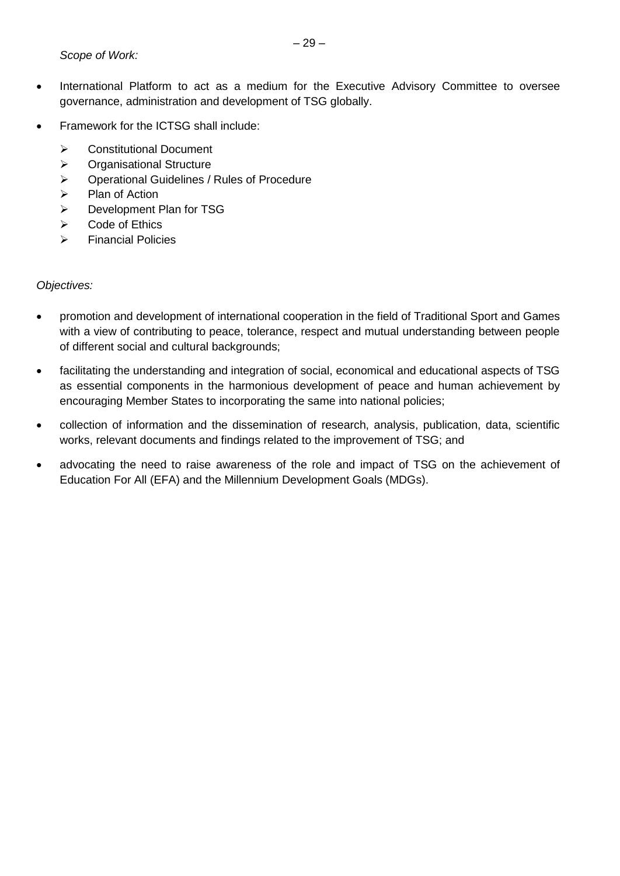- International Platform to act as a medium for the Executive Advisory Committee to oversee governance, administration and development of TSG globally.
- Framework for the ICTSG shall include:
	- **▶ Constitutional Document**
	- > Organisational Structure
	- Operational Guidelines / Rules of Procedure
	- $\triangleright$  Plan of Action
	- ▶ Development Plan for TSG
	- $\triangleright$  Code of Ethics
	- $\triangleright$  Financial Policies

#### *Objectives:*

- promotion and development of international cooperation in the field of Traditional Sport and Games with a view of contributing to peace, tolerance, respect and mutual understanding between people of different social and cultural backgrounds;
- facilitating the understanding and integration of social, economical and educational aspects of TSG as essential components in the harmonious development of peace and human achievement by encouraging Member States to incorporating the same into national policies;
- collection of information and the dissemination of research, analysis, publication, data, scientific works, relevant documents and findings related to the improvement of TSG; and
- advocating the need to raise awareness of the role and impact of TSG on the achievement of Education For All (EFA) and the Millennium Development Goals (MDGs).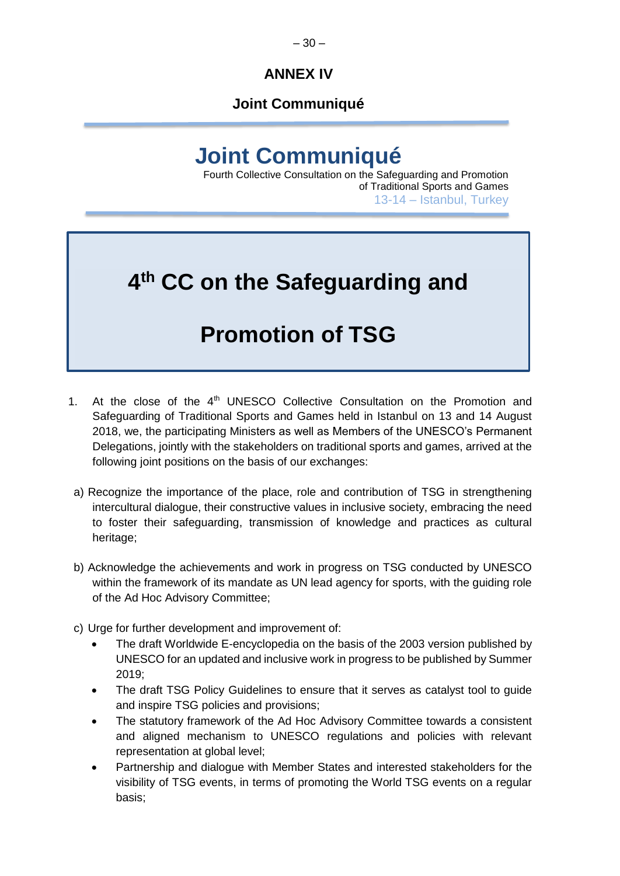## **Joint Communiqué**

# **Joint Communiqué**

Fourth Collective Consultation on the Safeguarding and Promotion of Traditional Sports and Games 13-14 – Istanbul, Turkey

# **4 th CC on the Safeguarding and**

# **Promotion of TSG**

- 1. At the close of the 4<sup>th</sup> UNESCO Collective Consultation on the Promotion and Safeguarding of Traditional Sports and Games held in Istanbul on 13 and 14 August 2018, we, the participating Ministers as well as Members of the UNESCO's Permanent Delegations, jointly with the stakeholders on traditional sports and games, arrived at the following joint positions on the basis of our exchanges:
- a) Recognize the importance of the place, role and contribution of TSG in strengthening intercultural dialogue, their constructive values in inclusive society, embracing the need to foster their safeguarding, transmission of knowledge and practices as cultural heritage;
- b) Acknowledge the achievements and work in progress on TSG conducted by UNESCO within the framework of its mandate as UN lead agency for sports, with the guiding role of the Ad Hoc Advisory Committee;
- c) Urge for further development and improvement of:
	- The draft Worldwide E-encyclopedia on the basis of the 2003 version published by UNESCO for an updated and inclusive work in progress to be published by Summer 2019;
	- The draft TSG Policy Guidelines to ensure that it serves as catalyst tool to guide and inspire TSG policies and provisions;
	- The statutory framework of the Ad Hoc Advisory Committee towards a consistent and aligned mechanism to UNESCO regulations and policies with relevant representation at global level;
	- Partnership and dialogue with Member States and interested stakeholders for the visibility of TSG events, in terms of promoting the World TSG events on a regular basis;